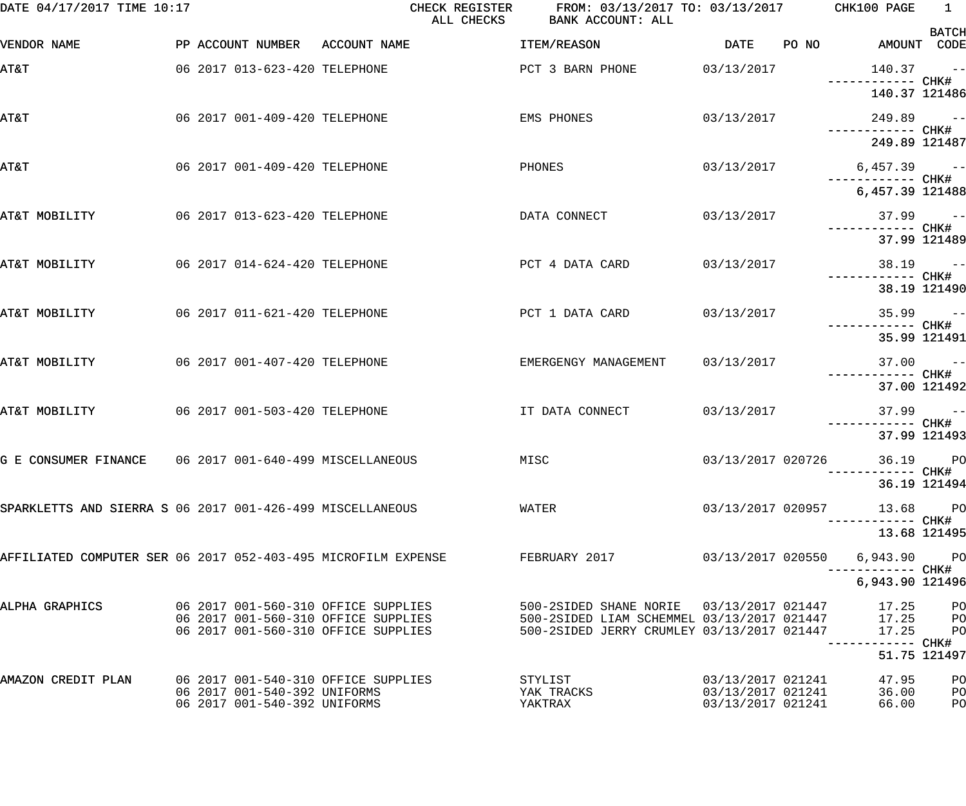| DATE 04/17/2017 TIME 10:17                                    |                                                                            | CHECK REGISTER<br>ALL CHECKS | FROM: 03/13/2017 TO: 03/13/2017 CHK100 PAGE<br>BANK ACCOUNT: ALL                                                                                         |                                        |       |                               | $\begin{array}{ccc} & 1 & \end{array}$ |
|---------------------------------------------------------------|----------------------------------------------------------------------------|------------------------------|----------------------------------------------------------------------------------------------------------------------------------------------------------|----------------------------------------|-------|-------------------------------|----------------------------------------|
| VENDOR NAME                                                   | PP ACCOUNT NUMBER ACCOUNT NAME                                             |                              | ITEM/REASON                                                                                                                                              | DATE                                   | PO NO | AMOUNT CODE                   | <b>BATCH</b>                           |
| AT&T                                                          | 06 2017 013-623-420 TELEPHONE                                              |                              | PCT 3 BARN PHONE                                                                                                                                         | 03/13/2017                             |       | $140.37 -$                    |                                        |
|                                                               |                                                                            |                              |                                                                                                                                                          |                                        |       | 140.37 121486                 |                                        |
| AT&T                                                          | 06 2017 001-409-420 TELEPHONE                                              |                              | EMS PHONES                                                                                                                                               | 03/13/2017                             |       | $249.89 - -$                  |                                        |
|                                                               |                                                                            |                              |                                                                                                                                                          |                                        |       | 249.89 121487                 |                                        |
| <b>AT&amp;T</b>                                               | 06 2017 001-409-420 TELEPHONE                                              |                              | PHONES                                                                                                                                                   | 03/13/2017                             |       | $6,457.39$ --                 |                                        |
|                                                               |                                                                            |                              |                                                                                                                                                          |                                        |       | 6,457.39 121488               |                                        |
| AT&T MOBILITY                                                 | 06 2017 013-623-420 TELEPHONE                                              |                              | DATA CONNECT                                                                                                                                             | 03/13/2017                             |       |                               | $37.99 - -$                            |
|                                                               |                                                                            |                              |                                                                                                                                                          |                                        |       |                               | 37.99 121489                           |
| AT&T MOBILITY                                                 | 06 2017 014-624-420 TELEPHONE                                              |                              | PCT 4 DATA CARD                                                                                                                                          | 03/13/2017                             |       |                               | $38.19 - -$                            |
|                                                               |                                                                            |                              |                                                                                                                                                          |                                        |       |                               | 38.19 121490                           |
| AT&T MOBILITY                                                 | 06 2017 011-621-420 TELEPHONE                                              |                              | PCT 1 DATA CARD                                                                                                                                          | 03/13/2017                             |       |                               | $35.99 - -$                            |
|                                                               |                                                                            |                              |                                                                                                                                                          |                                        |       |                               | 35.99 121491                           |
| AT&T MOBILITY                                                 | 06 2017 001-407-420 TELEPHONE                                              |                              | EMERGENGY MANAGEMENT                                                                                                                                     | 03/13/2017                             |       |                               | $37.00 - -$                            |
|                                                               |                                                                            |                              |                                                                                                                                                          |                                        |       | ------------ CHK#             | 37.00 121492                           |
| AT&T MOBILITY                                                 | 06 2017 001-503-420 TELEPHONE                                              |                              | IT DATA CONNECT                                                                                                                                          | 03/13/2017                             |       | $37.99 - -$                   |                                        |
|                                                               |                                                                            |                              |                                                                                                                                                          |                                        |       |                               | 37.99 121493                           |
| G E CONSUMER FINANCE 06 2017 001-640-499 MISCELLANEOUS MISC   |                                                                            |                              |                                                                                                                                                          |                                        |       | 03/13/2017 020726 36.19 PO    |                                        |
|                                                               |                                                                            |                              |                                                                                                                                                          |                                        |       | --------- CHK#                | 36.19 121494                           |
| SPARKLETTS AND SIERRA S 06 2017 001-426-499 MISCELLANEOUS     |                                                                            |                              | WATER                                                                                                                                                    | 03/13/2017 020957                      |       | 13.68 PO<br>------------ CHK# |                                        |
|                                                               |                                                                            |                              |                                                                                                                                                          |                                        |       | 13.68 121495                  |                                        |
| AFFILIATED COMPUTER SER 06 2017 052-403-495 MICROFILM EXPENSE |                                                                            |                              | FEBRUARY 2017                                                                                                                                            | 03/13/2017 020550                      |       | 6,943.90                      | <b>PO</b>                              |
|                                                               |                                                                            |                              |                                                                                                                                                          |                                        |       | 6,943.90 121496               |                                        |
| ALPHA GRAPHICS                                                | 06 2017 001-560-310 OFFICE SUPPLIES                                        |                              | 500-2SIDED SHANE NORIE 03/13/2017 021447                                                                                                                 |                                        |       | 17.25 PO                      |                                        |
|                                                               | 06 2017 001-560-310 OFFICE SUPPLIES<br>06 2017 001-560-310 OFFICE SUPPLIES |                              | 500-2SIDED LIAM SCHEMMEL 03/13/2017 021447 17.25 PO<br>500-2SIDED LIAM SCHEMMEL 03/13/2017 021447 17.25 PO<br>500-2SIDED JERRY CRUMLEY 03/13/2017 021447 |                                        |       | 17.25                         | $P$ O                                  |
|                                                               |                                                                            |                              |                                                                                                                                                          |                                        |       |                               | 51.75 121497                           |
| AMAZON CREDIT PLAN                                            | 06 2017 001-540-310 OFFICE SUPPLIES                                        |                              | STYLIST                                                                                                                                                  | 03/13/2017 021241                      |       | 47.95                         | PO                                     |
|                                                               | 06 2017 001-540-392 UNIFORMS<br>06 2017 001-540-392 UNIFORMS               |                              | YAK TRACKS<br>YAKTRAX                                                                                                                                    | 03/13/2017 021241<br>03/13/2017 021241 |       | 36.00<br>66.00                | PO<br>PO                               |
|                                                               |                                                                            |                              |                                                                                                                                                          |                                        |       |                               |                                        |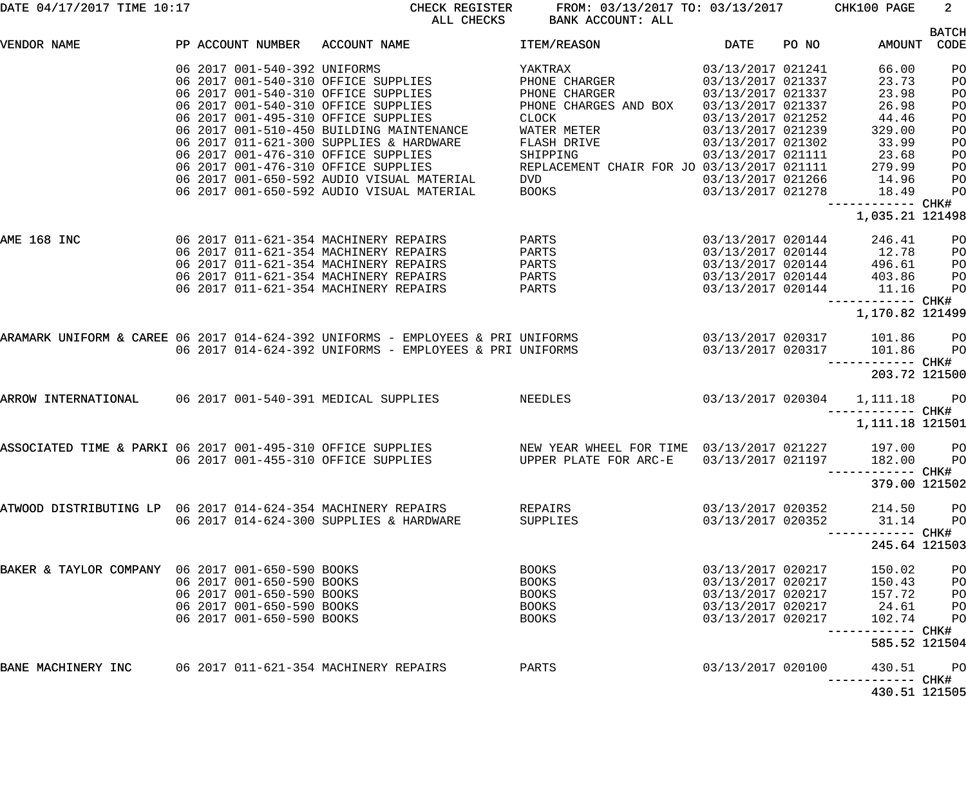|  |  |  |  | DATE 04/17/2017 TIME 10:17 |  |
|--|--|--|--|----------------------------|--|
|--|--|--|--|----------------------------|--|

CHECK REGISTER FROM:  $03/13/2017$  TO:  $03/13/2017$  CHK100 PAGE 2<br>ALL CHECKS BANK ACCOUNT: ALL BANK ACCOUNT: ALL

|                                                              |  |                           |                                                                                                                           |                                                   |                            |       |                   | <b>BATCH</b>  |
|--------------------------------------------------------------|--|---------------------------|---------------------------------------------------------------------------------------------------------------------------|---------------------------------------------------|----------------------------|-------|-------------------|---------------|
| VENDOR NAME                                                  |  |                           | PP ACCOUNT NUMBER ACCOUNT NAME                                                                                            | <b>ITEM/REASON</b>                                | DATE                       | PO NO |                   | AMOUNT CODE   |
|                                                              |  |                           |                                                                                                                           | YAKTRAX                                           | 03/13/2017 021241          |       | 66.00             | PO            |
|                                                              |  |                           | 06  2017  001-540-392  UNIFORMS<br>06  2017  001-540-310  OFFICE  SUPPLIES                                                | PHONE CHARGER                                     | 03/13/2017 021337          |       | 23.73             | PO            |
|                                                              |  |                           | 06 2017 001-540-310 OFFICE SUPPLIES                                                                                       | PHONE CHARGER                                     | 03/13/2017 021337          |       | 23.98             | PO            |
|                                                              |  |                           | 06 2017 001-540-310 OFFICE SUPPLIES                                                                                       | PHONE CHARGES AND BOX                             | 03/13/2017 021337          |       | 26.98             | PO            |
|                                                              |  |                           | 06 2017 001-495-310 OFFICE SUPPLIES                                                                                       | CLOCK                                             | 03/13/2017 021252          |       | 44.46             | PO            |
|                                                              |  |                           | 06 2017 001-510-450 BUILDING MAINTENANCE                                                                                  | WATER METER                                       | 03/13/2017 021239          |       | 329.00            | PO            |
|                                                              |  |                           | 06 2017 011-621-300 SUPPLIES & HARDWARE                                                                                   | FLASH DRIVE                                       | 03/13/2017 021302          |       | 33.99             | PO            |
|                                                              |  |                           | 06 2017 001-476-310 OFFICE SUPPLIES                                                                                       | SHIPPING                                          | 03/13/2017 021111 23.68    |       |                   | PO            |
|                                                              |  |                           | 06 2017 001-476-310 OFFICE SUPPLIES                                                                                       | REPLACEMENT CHAIR FOR JO 03/13/2017 021111 279.99 |                            |       |                   | PO            |
|                                                              |  |                           | 06 2017 001-650-592 AUDIO VISUAL MATERIAL                                                                                 | DVD OVER 1999                                     | 03/13/2017 021266 14.96    |       |                   | PO            |
|                                                              |  |                           | 06 2017 001-650-592 AUDIO VISUAL MATERIAL                                                                                 | <b>BOOKS Example 20</b>                           | 03/13/2017 021278          |       | 18.49             | PO            |
|                                                              |  |                           |                                                                                                                           |                                                   |                            |       | ------------ CHK# |               |
|                                                              |  |                           |                                                                                                                           |                                                   |                            |       | 1,035.21 121498   |               |
|                                                              |  |                           |                                                                                                                           |                                                   |                            |       |                   |               |
| AME 168 INC                                                  |  |                           | 06 2017 011-621-354 MACHINERY REPAIRS                                                                                     | <b>PARTS</b>                                      | 03/13/2017 020144          |       | 246.41            | PO            |
|                                                              |  |                           | 06 2017 011-621-354 MACHINERY REPAIRS                                                                                     | PARTS                                             | 03/13/2017 020144 12.78    |       |                   | PO            |
|                                                              |  |                           | 06 2017 011-621-354 MACHINERY REPAIRS                                                                                     | PARTS                                             | 03/13/2017 020144 496.61   |       |                   | PO            |
|                                                              |  |                           | 06 2017 011-621-354 MACHINERY REPAIRS                                                                                     | <b>PARTS</b>                                      | 03/13/2017 020144 403.86   |       |                   | PO            |
|                                                              |  |                           | 06 2017 011-621-354 MACHINERY REPAIRS                                                                                     | PARTS                                             | 03/13/2017 020144 11.16    |       |                   | PO            |
|                                                              |  |                           |                                                                                                                           |                                                   |                            |       | ------------ CHK# |               |
|                                                              |  |                           |                                                                                                                           |                                                   |                            |       | 1,170.82 121499   |               |
|                                                              |  |                           | ARAMARK UNIFORM & CAREE 06 2017 014-624-392 UNIFORMS - EMPLOYEES & PRI UNIFORMS         03/13/2017 020317    101.86    PO |                                                   |                            |       |                   |               |
|                                                              |  |                           | 06 2017 014-624-392 UNIFORMS - EMPLOYEES & PRI UNIFORMS                                                                   |                                                   | 03/13/2017 020317 101.86   |       |                   | <b>PO</b>     |
|                                                              |  |                           |                                                                                                                           |                                                   |                            |       |                   |               |
|                                                              |  |                           |                                                                                                                           |                                                   |                            |       |                   | 203.72 121500 |
| ARROW INTERNATIONAL 06 2017 001-540-391 MEDICAL SUPPLIES     |  |                           |                                                                                                                           | <b>NEEDLES</b>                                    | 03/13/2017 020304 1,111.18 |       |                   | <b>PO</b>     |
|                                                              |  |                           |                                                                                                                           |                                                   |                            |       | ----------- CHK#  |               |
|                                                              |  |                           |                                                                                                                           |                                                   |                            |       | 1,111.18 121501   |               |
|                                                              |  |                           | ASSOCIATED TIME & PARKI 06 2017 001-495-310 OFFICE SUPPLIES NEW YEAR WHEEL FOR TIME 03/13/2017 021227 197.00 PO           |                                                   |                            |       |                   |               |
|                                                              |  |                           | 06 2017 001-455-310 OFFICE SUPPLIES                                                                                       | UPPER PLATE FOR ARC-E                             | 03/13/2017 021197 182.00   |       |                   | PO            |
|                                                              |  |                           |                                                                                                                           |                                                   |                            |       |                   |               |
|                                                              |  |                           |                                                                                                                           |                                                   |                            |       |                   | 379.00 121502 |
|                                                              |  |                           |                                                                                                                           |                                                   |                            |       |                   |               |
| ATWOOD DISTRIBUTING LP 06 2017 014-624-354 MACHINERY REPAIRS |  |                           |                                                                                                                           | REPAIRS                                           | 03/13/2017 020352          |       | 214.50            | PO            |
|                                                              |  |                           | 06 2017 014-624-300 SUPPLIES & HARDWARE                                                                                   | SUPPLIES                                          | 03/13/2017 020352          |       | 31.14             | PO            |
|                                                              |  |                           |                                                                                                                           |                                                   |                            |       | ------------ CHK# | 245.64 121503 |
|                                                              |  |                           |                                                                                                                           |                                                   |                            |       |                   |               |
| BAKER & TAYLOR COMPANY 06 2017 001-650-590 BOOKS             |  |                           |                                                                                                                           | <b>BOOKS</b>                                      | 03/13/2017 020217          |       | 150.02            | PO            |
|                                                              |  | 06 2017 001-650-590 BOOKS |                                                                                                                           | <b>BOOKS</b>                                      | 03/13/2017 020217          |       | 150.43            | PO            |
|                                                              |  | 06 2017 001-650-590 BOOKS |                                                                                                                           | <b>BOOKS</b>                                      | 03/13/2017 020217          |       | 157.72            | PO            |
|                                                              |  | 06 2017 001-650-590 BOOKS |                                                                                                                           | <b>BOOKS</b>                                      | 03/13/2017 020217          |       | 24.61             | PO            |
|                                                              |  | 06 2017 001-650-590 BOOKS |                                                                                                                           | <b>BOOKS</b>                                      | 03/13/2017 020217          |       | 102.74            | PO            |
|                                                              |  |                           |                                                                                                                           |                                                   |                            |       |                   |               |
|                                                              |  |                           |                                                                                                                           |                                                   |                            |       |                   | 585.52 121504 |
| BANE MACHINERY INC                                           |  |                           | 06 2017 011-621-354 MACHINERY REPAIRS                                                                                     | PARTS                                             | 03/13/2017 020100          |       | 430.51            | PO            |
|                                                              |  |                           |                                                                                                                           |                                                   |                            |       |                   |               |
|                                                              |  |                           |                                                                                                                           |                                                   |                            |       |                   | 430.51 121505 |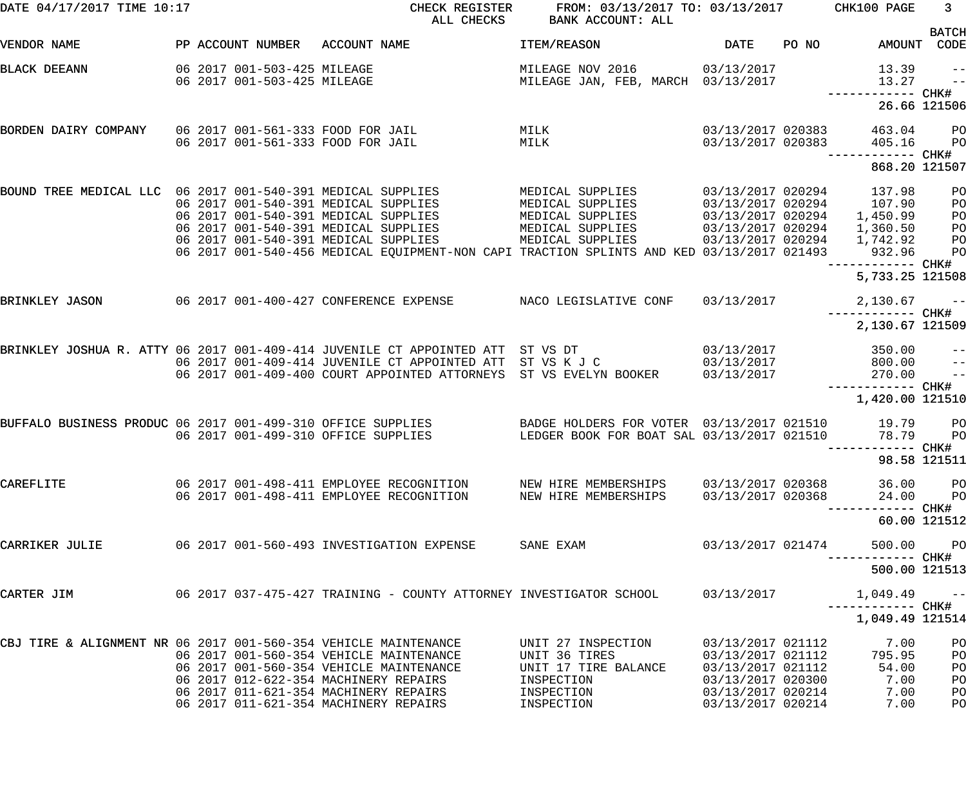| DATE 04/17/2017 TIME 10:17                                      |  |                             | CHECK REGISTER<br>ALL CHECKS                                                                                                      | FROM: 03/13/2017 TO: 03/13/2017 CHK100 PAGE<br>BANK ACCOUNT: ALL |                                        |       |                                    | 3 <sup>7</sup>              |
|-----------------------------------------------------------------|--|-----------------------------|-----------------------------------------------------------------------------------------------------------------------------------|------------------------------------------------------------------|----------------------------------------|-------|------------------------------------|-----------------------------|
| VENDOR NAME                                                     |  | PP ACCOUNT NUMBER           | ACCOUNT NAME                                                                                                                      | ITEM/REASON                                                      | <b>DATE</b>                            | PO NO |                                    | <b>BATCH</b><br>AMOUNT CODE |
|                                                                 |  |                             |                                                                                                                                   |                                                                  |                                        |       |                                    |                             |
| <b>BLACK DEEANN</b>                                             |  | 06 2017 001-503-425 MILEAGE |                                                                                                                                   | MILEAGE NOV 2016 03/13/2017                                      |                                        |       | 13.39                              | $- -$                       |
|                                                                 |  | 06 2017 001-503-425 MILEAGE |                                                                                                                                   | MILEAGE JAN, FEB, MARCH 03/13/2017                               |                                        |       | 13.27                              | $\qquad -$                  |
|                                                                 |  |                             |                                                                                                                                   |                                                                  |                                        |       |                                    | 26.66 121506                |
| BORDEN DAIRY COMPANY 06 2017 001-561-333 FOOD FOR JAIL          |  |                             |                                                                                                                                   | MILK                                                             | 03/13/2017 020383                      |       | 463.04                             | P <sub>O</sub>              |
|                                                                 |  |                             | 06 2017 001-561-333 FOOD FOR JAIL                                                                                                 | MILK                                                             | 03/13/2017 020383                      |       | 405.16                             | P <sub>O</sub>              |
|                                                                 |  |                             |                                                                                                                                   |                                                                  |                                        |       | ------------ CHK#<br>868.20 121507 |                             |
| BOUND TREE MEDICAL LLC 06 2017 001-540-391 MEDICAL SUPPLIES     |  |                             |                                                                                                                                   | MEDICAL SUPPLIES                                                 | 03/13/2017 020294                      |       | 137.98                             | PO                          |
|                                                                 |  |                             | 06 2017 001-540-391 MEDICAL SUPPLIES                                                                                              | MEDICAL SUPPLIES                                                 |                                        |       | 03/13/2017 020294 107.90           | PO                          |
|                                                                 |  |                             | 06 2017 001-540-391 MEDICAL SUPPLIES                                                                                              | MEDICAL SUPPLIES                                                 | 03/13/2017 020294                      |       | 1,450.99                           | PO                          |
|                                                                 |  |                             | 06 2017 001-540-391 MEDICAL SUPPLIES                                                                                              | MEDICAL SUPPLIES                                                 | 03/13/2017 020294                      |       | 1,360.50                           | PO                          |
|                                                                 |  |                             | 06 2017 001-540-391 MEDICAL SUPPLIES<br>06 2017 001-540-456 MEDICAL EQUIPMENT-NON CAPI TRACTION SPLINTS AND KED 03/13/2017 021493 | MEDICAL SUPPLIES                                                 | 03/13/2017 020294                      |       | 1,742.92                           | PO                          |
|                                                                 |  |                             |                                                                                                                                   |                                                                  |                                        |       | 932.96<br>---------- CHK#          | PO                          |
|                                                                 |  |                             |                                                                                                                                   |                                                                  |                                        |       | 5,733.25 121508                    |                             |
| BRINKLEY JASON                                                  |  |                             | 06 2017 001-400-427 CONFERENCE EXPENSE                                                                                            | NACO LEGISLATIVE CONF                                            | 03/13/2017                             |       | $2,130.67$ --<br>------------ CHK# |                             |
|                                                                 |  |                             |                                                                                                                                   |                                                                  |                                        |       | 2,130.67 121509                    |                             |
|                                                                 |  |                             | BRINKLEY JOSHUA R. ATTY 06 2017 001-409-414 JUVENILE CT APPOINTED ATT ST VS DT                                                    |                                                                  | 03/13/2017                             |       | 350.00                             | $\qquad \qquad -$           |
|                                                                 |  |                             | 06 2017 001-409-414 JUVENILE CT APPOINTED ATT ST VS K J C                                                                         |                                                                  | 03/13/2017                             |       | 800.00                             | $-$                         |
|                                                                 |  |                             | 06 2017 001-409-400 COURT APPOINTED ATTORNEYS ST VS EVELYN BOOKER                                                                 |                                                                  | 03/13/2017                             |       | 270.00                             | $\frac{1}{2}$               |
|                                                                 |  |                             |                                                                                                                                   |                                                                  |                                        |       | —————————— CHK#<br>1,420.00 121510 |                             |
| BUFFALO BUSINESS PRODUC 06 2017 001-499-310 OFFICE SUPPLIES     |  |                             |                                                                                                                                   | BADGE HOLDERS FOR VOTER 03/13/2017 021510                        |                                        |       | 19.79                              | P <sub>O</sub>              |
|                                                                 |  |                             | 06 2017 001-499-310 OFFICE SUPPLIES                                                                                               | LEDGER BOOK FOR BOAT SAL 03/13/2017 021510                       |                                        |       | 78.79                              | P <sub>O</sub>              |
|                                                                 |  |                             |                                                                                                                                   |                                                                  |                                        |       |                                    |                             |
|                                                                 |  |                             |                                                                                                                                   |                                                                  |                                        |       | 98.58 121511                       |                             |
| CAREFLITE                                                       |  |                             | 06 2017 001-498-411 EMPLOYEE RECOGNITION                                                                                          | NEW HIRE MEMBERSHIPS                                             | 03/13/2017 020368                      |       | 36.00                              | $P$ O                       |
|                                                                 |  |                             | 06 2017 001-498-411 EMPLOYEE RECOGNITION                                                                                          | NEW HIRE MEMBERSHIPS                                             | 03/13/2017 020368                      |       | 24.00                              | $P$ O                       |
|                                                                 |  |                             |                                                                                                                                   |                                                                  |                                        |       | ------ CHK#                        | 60.00 121512                |
| CARRIKER JULIE                                                  |  |                             | 06 2017 001-560-493 INVESTIGATION EXPENSE                                                                                         | SANE EXAM                                                        | 03/13/2017 021474                      |       | 500.00                             | <b>PO</b>                   |
|                                                                 |  |                             |                                                                                                                                   |                                                                  |                                        |       | 500.00 121513                      |                             |
| CARTER JIM                                                      |  |                             | 06  2017  037-475-427  TRAINING - COUNTY ATTORNEY INVESTIGATOR SCHOOL                                                             |                                                                  | 03/13/2017                             |       | 1,049.49                           | $ -$                        |
|                                                                 |  |                             |                                                                                                                                   |                                                                  |                                        |       | 1,049.49 121514                    |                             |
| CBJ TIRE & ALIGNMENT NR 06 2017 001-560-354 VEHICLE MAINTENANCE |  |                             |                                                                                                                                   | UNIT 27 INSPECTION                                               | 03/13/2017 021112                      |       | 7.00                               | PO                          |
|                                                                 |  |                             | 06 2017 001-560-354 VEHICLE MAINTENANCE                                                                                           | UNIT 36 TIRES                                                    | 03/13/2017 021112                      |       | 795.95                             | PO                          |
|                                                                 |  |                             | 06 2017 001-560-354 VEHICLE MAINTENANCE                                                                                           | UNIT 17 TIRE BALANCE                                             | 03/13/2017 021112                      |       | 54.00                              | PO                          |
|                                                                 |  |                             | 06 2017 012-622-354 MACHINERY REPAIRS                                                                                             | INSPECTION                                                       | 03/13/2017 020300                      |       | 7.00                               | PO                          |
|                                                                 |  |                             | 06 2017 011-621-354 MACHINERY REPAIRS<br>06 2017 011-621-354 MACHINERY REPAIRS                                                    | INSPECTION<br>INSPECTION                                         | 03/13/2017 020214<br>03/13/2017 020214 |       | 7.00<br>7.00                       | PO<br>PO                    |
|                                                                 |  |                             |                                                                                                                                   |                                                                  |                                        |       |                                    |                             |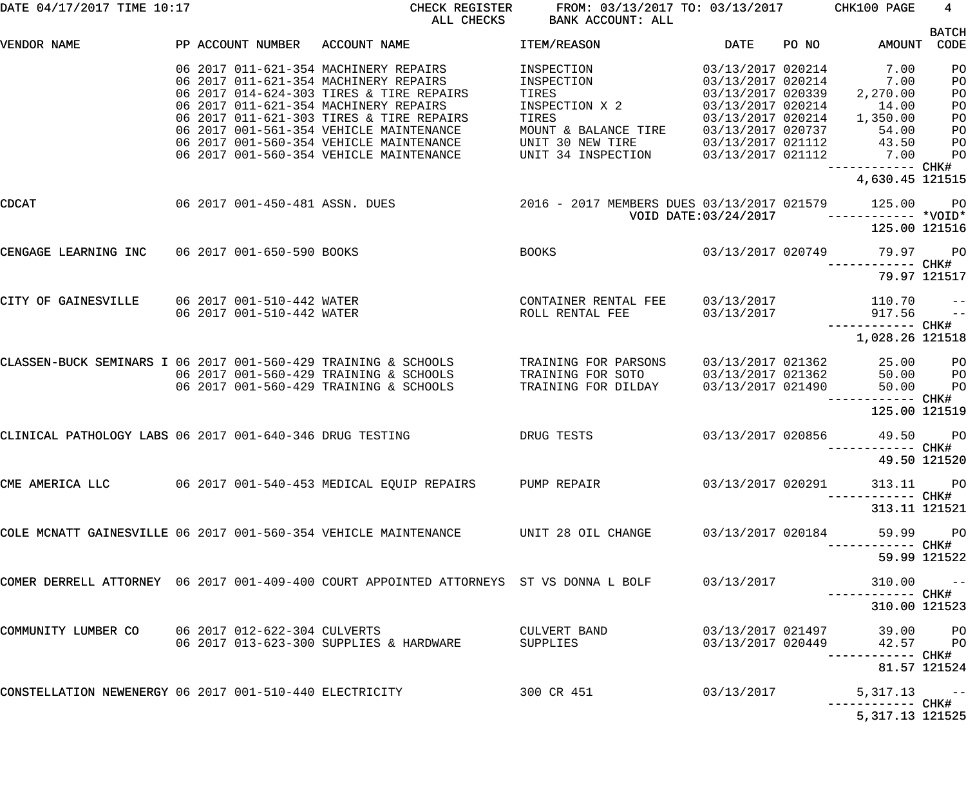| DATE 04/17/2017 TIME 10:17                                     |  | CHECK REGISTER<br>FROM: 03/13/2017 TO: 03/13/2017 CHK100 PAGE<br>ALL CHECKS<br>BANK ACCOUNT: ALL |                                                                                                                                                                                                                 |                                                                  |                                                                                                       |       | $4\overline{ }$                                                 |                                              |
|----------------------------------------------------------------|--|--------------------------------------------------------------------------------------------------|-----------------------------------------------------------------------------------------------------------------------------------------------------------------------------------------------------------------|------------------------------------------------------------------|-------------------------------------------------------------------------------------------------------|-------|-----------------------------------------------------------------|----------------------------------------------|
| VENDOR NAME                                                    |  | PP ACCOUNT NUMBER                                                                                | ACCOUNT NAME                                                                                                                                                                                                    | ITEM/REASON                                                      | DATE                                                                                                  | PO NO | AMOUNT CODE                                                     | <b>BATCH</b>                                 |
|                                                                |  |                                                                                                  | 06 2017 011-621-354 MACHINERY REPAIRS<br>06 2017 011-621-354 MACHINERY REPAIRS<br>06 2017 014-624-303 TIRES & TIRE REPAIRS<br>06 2017 011-621-354 MACHINERY REPAIRS<br>06 2017 011-621-303 TIRES & TIRE REPAIRS | INSPECTION<br>INSPECTION<br>TIRES<br>INSPECTION X 2<br>TIRES     | 03/13/2017 020214<br>03/13/2017 020214<br>03/13/2017 020339<br>03/13/2017 020214<br>03/13/2017 020214 |       | 7.00<br>7.00<br>2,270.00<br>14.00<br>1,350.00                   | PO<br>PO<br>PO<br>PO<br>PO                   |
|                                                                |  |                                                                                                  | 06 2017 001-561-354 VEHICLE MAINTENANCE<br>06 2017 001-560-354 VEHICLE MAINTENANCE<br>06 2017 001-560-354 VEHICLE MAINTENANCE                                                                                   | MOUNT & BALANCE TIRE<br>UNIT 30 NEW TIRE<br>UNIT 34 INSPECTION   | 03/13/2017 020737<br>03/13/2017 021112<br>03/13/2017 021112                                           |       | 54.00<br>43.50<br>7.00<br>------------ CHK#<br>4,630.45 121515  | PO<br>PO<br>PO                               |
| CDCAT                                                          |  |                                                                                                  | 06 2017 001-450-481 ASSN. DUES                                                                                                                                                                                  | 2016 - 2017 MEMBERS DUES 03/13/2017 021579                       | VOID DATE: 03/24/2017                                                                                 |       | 125.00<br>125.00 121516                                         | <b>PO</b>                                    |
| CENGAGE LEARNING INC 06 2017 001-650-590 BOOKS                 |  |                                                                                                  |                                                                                                                                                                                                                 | <b>BOOKS</b>                                                     | 03/13/2017 020749                                                                                     |       | 79.97<br>------------ CHK#                                      | <b>PO</b>                                    |
| CITY OF GAINESVILLE                                            |  | 06 2017 001-510-442 WATER<br>06 2017 001-510-442 WATER                                           |                                                                                                                                                                                                                 | CONTAINER RENTAL FEE<br>ROLL RENTAL FEE                          | 03/13/2017<br>03/13/2017                                                                              |       | 79.97 121517<br>110.70<br>917.56                                | $\hspace{0.1em}$ – $\hspace{0.1em}$<br>$- -$ |
| CLASSEN-BUCK SEMINARS I 06 2017 001-560-429 TRAINING & SCHOOLS |  |                                                                                                  | 06 2017 001-560-429 TRAINING & SCHOOLS<br>06 2017 001-560-429 TRAINING & SCHOOLS                                                                                                                                | TRAINING FOR PARSONS<br>TRAINING FOR SOTO<br>TRAINING FOR DILDAY | 03/13/2017 021362<br>03/13/2017 021362<br>03/13/2017 021490                                           |       | 1,028.26 121518<br>25.00<br>50.00<br>50.00<br>------------ CHK# | P <sub>O</sub><br>P <sub>O</sub><br>PO       |
| CLINICAL PATHOLOGY LABS 06 2017 001-640-346 DRUG TESTING       |  |                                                                                                  |                                                                                                                                                                                                                 | DRUG TESTS                                                       | 03/13/2017 020856                                                                                     |       | 125.00 121519<br>49.50<br>—————————— CHK#<br>49.50 121520       | <b>PO</b>                                    |
|                                                                |  |                                                                                                  | CME AMERICA LLC 		 06 2017 001-540-453 MEDICAL EQUIP REPAIRS 		 PUMP REPAIR                                                                                                                                     |                                                                  | 03/13/2017 020291                                                                                     |       | 313.11 PO<br>-----------         CHK#<br>313.11 121521          |                                              |
|                                                                |  |                                                                                                  | COLE MCNATT GAINESVILLE 06 2017 001-560-354 VEHICLE MAINTENANCE           UNIT 28 OIL CHANGE                                                                                                                    |                                                                  |                                                                                                       |       | 03/13/2017 020184 59.99 PO<br>59.99 121522                      |                                              |
|                                                                |  |                                                                                                  | COMER DERRELL ATTORNEY 06 2017 001-409-400 COURT APPOINTED ATTORNEYS ST VS DONNA L BOLF                                                                                                                         |                                                                  | 03/13/2017                                                                                            |       | $310.00 - -$                                                    |                                              |
| COMMUNITY LUMBER CO                                            |  |                                                                                                  | 06 2017 012-622-304 CULVERTS<br>06 2017 013-623-300 SUPPLIES & HARDWARE                                                                                                                                         | CULVERT BAND<br>SUPPLIES                                         | 03/13/2017 020449                                                                                     |       | 310.00 121523<br>03/13/2017 021497 39.00 PO<br>42.57 PO         |                                              |
|                                                                |  |                                                                                                  | CONSTELLATION NEWENERGY 06 2017 001-510-440 ELECTRICITY                                                                                                                                                         | 300 CR 451                                                       | 03/13/2017                                                                                            |       | 81.57 121524<br>$5,317.13$ --                                   |                                              |
|                                                                |  |                                                                                                  |                                                                                                                                                                                                                 |                                                                  |                                                                                                       |       | 5, 317.13 121525                                                |                                              |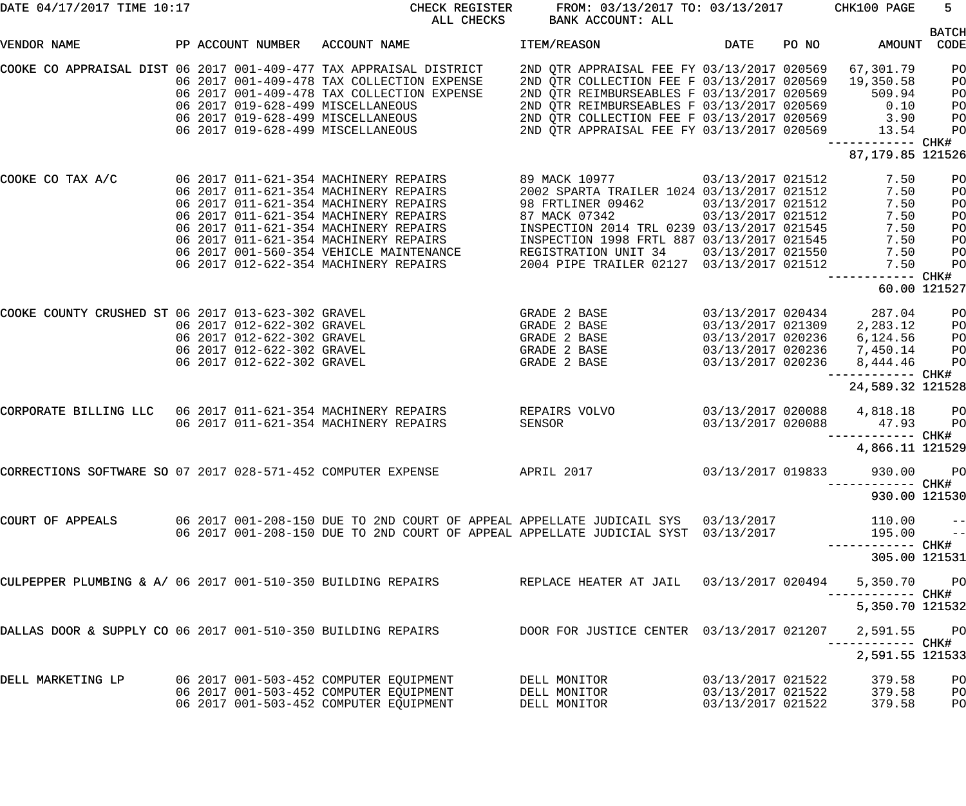| DATE 04/17/2017 TIME 10:17                                         |  |  |                            | CHECK REGISTER<br>ALL CHECKS                                                                           | BANK ACCOUNT: ALL                                                                                                                                      | FROM: 03/13/2017 TO: 03/13/2017 CHK100 PAGE |       |                   | $5 -$          |
|--------------------------------------------------------------------|--|--|----------------------------|--------------------------------------------------------------------------------------------------------|--------------------------------------------------------------------------------------------------------------------------------------------------------|---------------------------------------------|-------|-------------------|----------------|
| VENDOR NAME                                                        |  |  |                            | PP ACCOUNT NUMBER ACCOUNT NAME                                                                         | ITEM/REASON                                                                                                                                            | DATE                                        | PO NO | AMOUNT CODE       | <b>BATCH</b>   |
|                                                                    |  |  |                            |                                                                                                        |                                                                                                                                                        |                                             |       |                   |                |
| COOKE CO APPRAISAL DIST 06 2017 001-409-477 TAX APPRAISAL DISTRICT |  |  |                            |                                                                                                        | 2ND QTR APPRAISAL FEE FY 03/13/2017 020569                                                                                                             |                                             |       | 67,301.79         | PO             |
|                                                                    |  |  |                            | 06 2017 001-409-478 TAX COLLECTION EXPENSE                                                             | 2ND QTR COLLECTION FEE F 03/13/2017 020569                                                                                                             |                                             |       | 19,350.58         | PO             |
|                                                                    |  |  |                            | 06 2017 001-409-478 TAX COLLECTION EXPENSE                                                             | 2ND QTR REIMBURSEABLES F 03/13/2017 020569                                                                                                             |                                             |       | 509.94            | PO             |
|                                                                    |  |  |                            | 06 2017 019-628-499 MISCELLANEOUS                                                                      |                                                                                                                                                        |                                             |       |                   | PO             |
|                                                                    |  |  |                            | 06 2017 019-628-499 MISCELLANEOUS                                                                      |                                                                                                                                                        |                                             |       |                   | PO             |
|                                                                    |  |  |                            | 06 2017 019-628-499 MISCELLANEOUS                                                                      | 2ND QTR REIMBURSEABLES F 03/13/2017 020569 0.10<br>2ND QTR COLLECTION FEE F 03/13/2017 020569 3.90<br>2ND QTR APPRAISAL FEE FY 03/13/2017 020569 13.54 |                                             |       |                   | PO             |
|                                                                    |  |  |                            |                                                                                                        |                                                                                                                                                        |                                             |       | ------------ CHK# |                |
|                                                                    |  |  |                            |                                                                                                        |                                                                                                                                                        |                                             |       | 87, 179.85 121526 |                |
|                                                                    |  |  |                            |                                                                                                        |                                                                                                                                                        |                                             |       |                   |                |
| COOKE CO TAX A/C                                                   |  |  |                            | 06 2017 011-621-354 MACHINERY REPAIRS                                                                  | 89 MACK 10977 03/13/2017 021512                                                                                                                        |                                             |       | 7.50              | PO             |
|                                                                    |  |  |                            | 06 2017 011-621-354 MACHINERY REPAIRS                                                                  | 2002 SPARTA TRAILER 1024 03/13/2017 021512                                                                                                             |                                             |       | 7.50              | PO             |
|                                                                    |  |  |                            | 06 2017 011-621-354 MACHINERY REPAIRS                                                                  | 98 FRTLINER 09462                                                                                                                                      | 03/13/2017 021512                           |       | 7.50              | PO             |
|                                                                    |  |  |                            | 06 2017 011-621-354 MACHINERY REPAIRS                                                                  | 87 MACK 07342                                                                                                                                          | $03/13/2017$ 021512                         |       | 7.50              | PO             |
|                                                                    |  |  |                            | 06 2017 011-621-354 MACHINERY REPAIRS                                                                  | INSPECTION 2014 TRL 0239 03/13/2017 021545                                                                                                             |                                             |       | 7.50              | PO             |
|                                                                    |  |  |                            | 06 2017 011-621-354 MACHINERY REPAIRS                                                                  | INSPECTION 1998 FRTL 887 03/13/2017 021545                                                                                                             |                                             |       | 7.50              | PO             |
|                                                                    |  |  |                            | 06 2017 001-560-354 VEHICLE MAINTENANCE                                                                | REGISTRATION UNIT 34 03/13/2017 021550                                                                                                                 |                                             |       | 7.50              | PO             |
|                                                                    |  |  |                            | 06 2017 012-622-354 MACHINERY REPAIRS                                                                  | 2004 PIPE TRAILER 02127 03/13/2017 021512                                                                                                              |                                             |       | 7.50              | PO             |
|                                                                    |  |  |                            |                                                                                                        |                                                                                                                                                        |                                             |       |                   |                |
|                                                                    |  |  |                            |                                                                                                        |                                                                                                                                                        |                                             |       | 60.00 121527      |                |
| COOKE COUNTY CRUSHED ST 06 2017 013-623-302 GRAVEL                 |  |  |                            |                                                                                                        | GRADE 2 BASE                                                                                                                                           | 03/13/2017 020434                           |       | 287.04            | PO             |
|                                                                    |  |  | 06 2017 012-622-302 GRAVEL |                                                                                                        | GRADE 2 BASE                                                                                                                                           | 03/13/2017 021309                           |       | 2,283.12          | P <sub>O</sub> |
|                                                                    |  |  | 06 2017 012-622-302 GRAVEL |                                                                                                        | GRADE 2 BASE                                                                                                                                           | 03/13/2017 020236                           |       | 6,124.56          | P <sub>O</sub> |
|                                                                    |  |  | 06 2017 012-622-302 GRAVEL |                                                                                                        | GRADE 2 BASE                                                                                                                                           | 03/13/2017 020236                           |       | 7,450.14          | P <sub>O</sub> |
|                                                                    |  |  |                            |                                                                                                        |                                                                                                                                                        |                                             |       |                   |                |
|                                                                    |  |  | 06 2017 012-622-302 GRAVEL |                                                                                                        | GRADE 2 BASE                                                                                                                                           | 03/13/2017 020236                           |       | 8,444.46          | P <sub>O</sub> |
|                                                                    |  |  |                            |                                                                                                        |                                                                                                                                                        |                                             |       | ----------- CHK#  |                |
|                                                                    |  |  |                            |                                                                                                        |                                                                                                                                                        |                                             |       | 24,589.32 121528  |                |
|                                                                    |  |  |                            | CORPORATE BILLING LLC 06 2017 011-621-354 MACHINERY REPAIRS                                            | REPAIRS VOLVO                                                                                                                                          | 03/13/2017 020088                           |       | 4,818.18          | $_{\rm PO}$    |
|                                                                    |  |  |                            | 06 2017 011-621-354 MACHINERY REPAIRS                                                                  | SENSOR                                                                                                                                                 | 03/13/2017 020088                           |       | 47.93             | <b>PO</b>      |
|                                                                    |  |  |                            |                                                                                                        |                                                                                                                                                        |                                             |       |                   |                |
|                                                                    |  |  |                            |                                                                                                        |                                                                                                                                                        |                                             |       | 4,866.11 121529   |                |
|                                                                    |  |  |                            |                                                                                                        |                                                                                                                                                        | 03/13/2017 019833                           |       | 930.00            | <b>PO</b>      |
|                                                                    |  |  |                            |                                                                                                        |                                                                                                                                                        |                                             |       | --------- CHK#    |                |
|                                                                    |  |  |                            |                                                                                                        |                                                                                                                                                        |                                             |       | 930.00 121530     |                |
| COURT OF APPEALS                                                   |  |  |                            | 06 2017 001-208-150 DUE TO 2ND COURT OF APPEAL APPELLATE JUDICAIL SYS 03/13/2017                       |                                                                                                                                                        |                                             |       | 110.00            | $ -$           |
|                                                                    |  |  |                            | 06 2017 001-208-150 DUE TO 2ND COURT OF APPEAL APPELLATE JUDICIAL SYST 03/13/2017                      |                                                                                                                                                        |                                             |       | 195.00            | $\frac{1}{2}$  |
|                                                                    |  |  |                            |                                                                                                        |                                                                                                                                                        |                                             |       |                   |                |
|                                                                    |  |  |                            |                                                                                                        |                                                                                                                                                        |                                             |       | 305.00 121531     |                |
|                                                                    |  |  |                            | CULPEPPER PLUMBING & A/ 06 2017 001-510-350 BUILDING REPAIRS REPLACE HEATER AT JAIL 03/13/2017 020494  |                                                                                                                                                        |                                             |       | 5,350.70          | <b>PO</b>      |
|                                                                    |  |  |                            |                                                                                                        |                                                                                                                                                        |                                             |       | 5,350.70 121532   |                |
|                                                                    |  |  |                            | DALLAS DOOR & SUPPLY CO 06 2017 001-510-350 BUILDING REPAIRS DOOR FOR JUSTICE CENTER 03/13/2017 021207 |                                                                                                                                                        |                                             |       | 2,591.55          | <b>PO</b>      |
|                                                                    |  |  |                            |                                                                                                        |                                                                                                                                                        |                                             |       |                   |                |
|                                                                    |  |  |                            |                                                                                                        |                                                                                                                                                        |                                             |       | 2,591.55 121533   |                |
| DELL MARKETING LP                                                  |  |  |                            | 06 2017 001-503-452 COMPUTER EQUIPMENT                                                                 | DELL MONITOR                                                                                                                                           | 03/13/2017 021522                           |       | 379.58            | PО             |
|                                                                    |  |  |                            | 06 2017 001-503-452 COMPUTER EQUIPMENT                                                                 | DELL MONITOR                                                                                                                                           | 03/13/2017 021522                           |       | 379.58            | PO             |
|                                                                    |  |  |                            | 06 2017 001-503-452 COMPUTER EQUIPMENT                                                                 | DELL MONITOR                                                                                                                                           | 03/13/2017 021522                           |       | 379.58            | PO             |
|                                                                    |  |  |                            |                                                                                                        |                                                                                                                                                        |                                             |       |                   |                |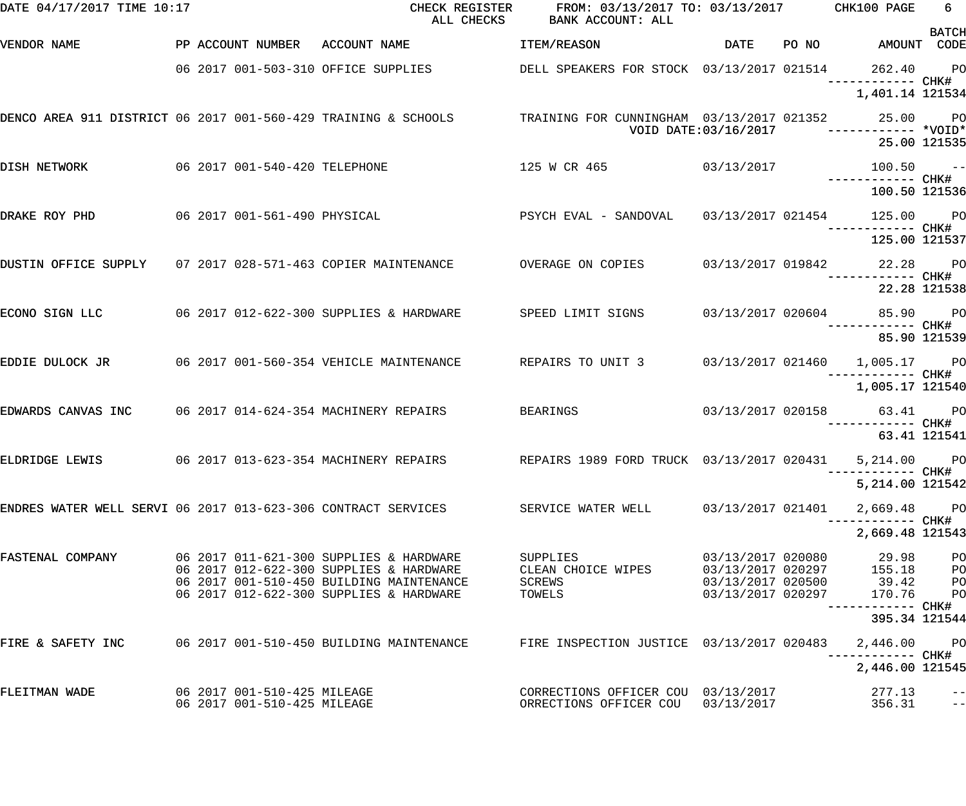| DATE 04/17/2017 TIME 10:17                                       |                               | CHECK REGISTER<br>ALL CHECKS                                                                                             | FROM: 03/13/2017 TO: 03/13/2017 CHK100 PAGE<br>BANK ACCOUNT: ALL |                      |                                      | 6            |
|------------------------------------------------------------------|-------------------------------|--------------------------------------------------------------------------------------------------------------------------|------------------------------------------------------------------|----------------------|--------------------------------------|--------------|
| VENDOR NAME                                                      |                               | PP ACCOUNT NUMBER ACCOUNT NAME                                                                                           | <b>ITEM/REASON</b>                                               | DATE                 | PO NO AMOUNT CODE                    | <b>BATCH</b> |
|                                                                  |                               | 06 2017 001-503-310 OFFICE SUPPLIES DELL SPEAKERS FOR STOCK 03/13/2017 021514                                            |                                                                  |                      | 262.40 PO                            |              |
|                                                                  |                               |                                                                                                                          |                                                                  |                      | ------------ CHK#<br>1,401.14 121534 |              |
| DENCO AREA 911 DISTRICT 06 2017 001-560-429 TRAINING & SCHOOLS   |                               |                                                                                                                          | TRAINING FOR CUNNINGHAM 03/13/2017 021352                        |                      | 25.00 PO<br>$---------$ *VOID*       |              |
|                                                                  |                               |                                                                                                                          |                                                                  | VOID DATE:03/16/2017 | 25.00 121535                         |              |
| DISH NETWORK                                                     | 06 2017 001-540-420 TELEPHONE |                                                                                                                          | 125 W CR 465 03/13/2017                                          |                      | $100.50 -$                           |              |
|                                                                  |                               |                                                                                                                          |                                                                  |                      | ------------ CHK#<br>100.50 121536   |              |
| DRAKE ROY PHD                                                    |                               | 06 2017 001-561-490 PHYSICAL                                   PSYCH EVAL - SANDOVAL     03/13/2017 021454               |                                                                  |                      | 125.00 PO                            |              |
|                                                                  |                               |                                                                                                                          |                                                                  |                      | 125.00 121537                        |              |
| DUSTIN OFFICE SUPPLY 07 2017 028-571-463 COPIER MAINTENANCE      |                               |                                                                                                                          | OVERAGE ON COPIES 03/13/2017 019842 22.28 PO                     |                      |                                      |              |
|                                                                  |                               |                                                                                                                          |                                                                  |                      | 22.28 121538                         |              |
| ECONO SIGN LLC $06\ 2017\ 012-622-300$ SUPPLIES & HARDWARE       |                               |                                                                                                                          |                                                                  |                      |                                      |              |
|                                                                  |                               |                                                                                                                          |                                                                  |                      | 85.90 121539                         |              |
| EDDIE DULOCK JR          06 2017 001-560-354 VEHICLE MAINTENANCE |                               |                                                                                                                          | REPAIRS TO UNIT 3 03/13/2017 021460 1,005.17 PO                  |                      |                                      |              |
|                                                                  |                               |                                                                                                                          |                                                                  |                      | 1,005.17 121540                      |              |
| EDWARDS CANVAS INC 06 2017 014-624-354 MACHINERY REPAIRS         |                               |                                                                                                                          | <b>BEARINGS</b>                                                  |                      |                                      |              |
|                                                                  |                               |                                                                                                                          |                                                                  |                      | 63.41 121541                         |              |
|                                                                  |                               | ELDRIDGE LEWIS      06 2017 013-623-354 MACHINERY REPAIRS      REPAIRS 1989 FORD TRUCK 03/13/2017 020431   5,214.00   PO |                                                                  |                      | ------------ CHK#                    |              |
|                                                                  |                               |                                                                                                                          |                                                                  |                      | 5,214.00 121542                      |              |
|                                                                  |                               | ENDRES WATER WELL SERVI 06 2017 013-623-306 CONTRACT SERVICES SERVICE WATER WELL 03/13/2017 021401                       |                                                                  |                      | 2,669.48                             | <b>PO</b>    |
|                                                                  |                               |                                                                                                                          |                                                                  |                      | 2,669.48 121543                      |              |
| FASTENAL COMPANY                                                 |                               | 06 2017 011-621-300 SUPPLIES & HARDWARE<br>06 2017 012-622-300 SUPPLIES & HARDWARE                                       | SUPPLIES<br>CLEAN CHOICE WIPES                                   |                      |                                      |              |
|                                                                  |                               | 06 2017 001-510-450 BUILDING MAINTENANCE<br>06 2017 012-622-300 SUPPLIES & HARDWARE                                      | SCREWS<br>TOWELS                                                 |                      |                                      |              |
|                                                                  |                               |                                                                                                                          |                                                                  |                      | 395.34 121544                        |              |
|                                                                  |                               | FIRE & SAFETY INC     06 2017 001-510-450 BUILDING MAINTENANCE     FIRE INSPECTION JUSTICE 03/13/2017 020483             |                                                                  |                      | 2,446.00                             | <b>PO</b>    |
|                                                                  |                               |                                                                                                                          |                                                                  |                      | ------------ CHK#<br>2,446.00 121545 |              |
| FLEITMAN WADE                                                    | 06 2017 001-510-425 MILEAGE   |                                                                                                                          | CORRECTIONS OFFICER COU 03/13/2017                               |                      | 277.13                               | $-$          |
|                                                                  | 06 2017 001-510-425 MILEAGE   |                                                                                                                          | ORRECTIONS OFFICER COU 03/13/2017                                |                      | 356.31                               | $ -$         |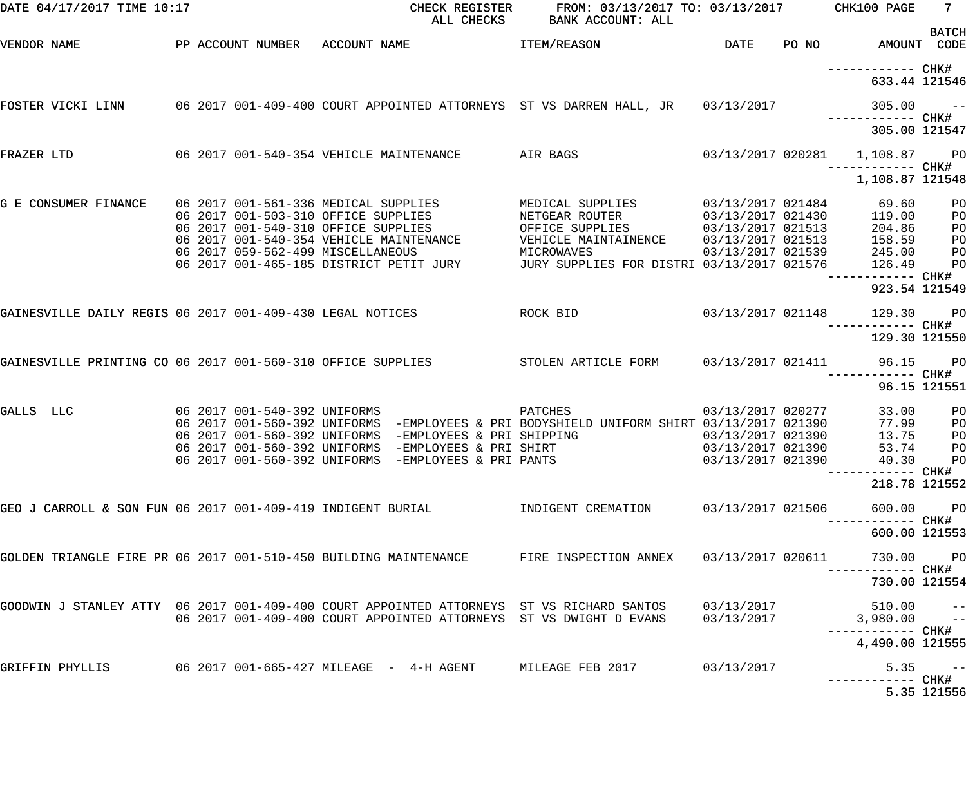| DATE 04/17/2017 TIME 10:17                                                                |  |                                                                                                                         | CHECK REGISTER<br>ALL CHECKS                                                                                                                                                                         | FROM: 03/13/2017 TO: 03/13/2017 CHK100 PAGE<br>BANK ACCOUNT: ALL                                     |                                                                                  |                                              | $7 -$                                                                |
|-------------------------------------------------------------------------------------------|--|-------------------------------------------------------------------------------------------------------------------------|------------------------------------------------------------------------------------------------------------------------------------------------------------------------------------------------------|------------------------------------------------------------------------------------------------------|----------------------------------------------------------------------------------|----------------------------------------------|----------------------------------------------------------------------|
| VENDOR NAME                                                                               |  |                                                                                                                         | PP ACCOUNT NUMBER ACCOUNT NAME                                                                                                                                                                       | <b>ITEM/REASON</b>                                                                                   | DATE                                                                             | PO NO AMOUNT CODE                            | <b>BATCH</b>                                                         |
|                                                                                           |  |                                                                                                                         |                                                                                                                                                                                                      |                                                                                                      |                                                                                  | 633.44 121546                                |                                                                      |
| FOSTER VICKI LINN                                                                         |  |                                                                                                                         |                                                                                                                                                                                                      | 06 2017 001-409-400 COURT APPOINTED ATTORNEYS ST VS DARREN HALL, JR 03/13/2017                       |                                                                                  | 305.00                                       | $\sim$ $ -$                                                          |
|                                                                                           |  |                                                                                                                         |                                                                                                                                                                                                      |                                                                                                      |                                                                                  | 305.00 121547                                |                                                                      |
| FRAZER LTD                                                                                |  |                                                                                                                         |                                                                                                                                                                                                      | 06 2017 001-540-354 VEHICLE MAINTENANCE AIR BAGS                                                     |                                                                                  | 03/13/2017 020281   1,108.87                 | <b>PO</b>                                                            |
|                                                                                           |  |                                                                                                                         |                                                                                                                                                                                                      |                                                                                                      |                                                                                  | 1,108.87 121548                              |                                                                      |
| G E CONSUMER FINANCE                                                                      |  | 06 2017 001-561-336 MEDICAL SUPPLIES<br>06 2017 001-503-310 OFFICE SUPPLIES<br>06 2017 001-540-310 OFFICE SUPPLIES      |                                                                                                                                                                                                      | MEDICAL SUPPLIES 03/13/2017 021484<br>NETGEAR ROUTER<br>OFFICE SUPPLIES                              | 03/13/2017 021513                                                                | 69.60<br>03/13/2017 021430 119.00<br>204.86  | P <sub>O</sub><br>P <sub>O</sub><br>P <sub>O</sub>                   |
|                                                                                           |  | 06 2017 001-540-354 VEHICLE MAINTENANCE<br>06 2017 059-562-499 MISCELLANEOUS<br>06 2017 001-465-185 DISTRICT PETIT JURY |                                                                                                                                                                                                      | VEHICLE MAINTAINENCE<br>MICROWAVES<br>JURY SUPPLIES FOR DISTRI 03/13/2017 021576                     | 03/13/2017 021513                                                                | 158.59<br>03/13/2017 021539 245.00<br>126.49 | P <sub>O</sub><br>P <sub>O</sub><br>P <sub>O</sub>                   |
|                                                                                           |  |                                                                                                                         |                                                                                                                                                                                                      |                                                                                                      |                                                                                  | ------------ CHK#<br>923.54 121549           |                                                                      |
| GAINESVILLE DAILY REGIS 06 2017 001-409-430 LEGAL NOTICES                                 |  |                                                                                                                         |                                                                                                                                                                                                      | ROCK BID                                                                                             | 03/13/2017 021148                                                                | 129.30                                       | PO                                                                   |
|                                                                                           |  |                                                                                                                         |                                                                                                                                                                                                      |                                                                                                      |                                                                                  | 129.30 121550                                |                                                                      |
| GAINESVILLE PRINTING CO 06 2017 001-560-310 OFFICE SUPPLIES                               |  |                                                                                                                         |                                                                                                                                                                                                      | STOLEN ARTICLE FORM 03/13/2017 021411 96.15                                                          |                                                                                  |                                              | $P$ O                                                                |
|                                                                                           |  |                                                                                                                         |                                                                                                                                                                                                      |                                                                                                      |                                                                                  |                                              | 96.15 121551                                                         |
| GALLS LLC                                                                                 |  |                                                                                                                         | 06 2017 001-540-392 UNIFORMS<br>06 2017 001-560-392 UNIFORMS -EMPLOYEES & PRI SHIPPING<br>06 2017 001-560-392 UNIFORMS -EMPLOYEES & PRI SHIRT<br>06 2017 001-560-392 UNIFORMS -EMPLOYEES & PRI PANTS | PATCHES<br>06 2017 001-560-392 UNIFORMS  -EMPLOYEES & PRI BODYSHIELD UNIFORM SHIRT 03/13/2017 021390 | 03/13/2017 020277<br>03/13/2017 021390<br>03/13/2017 021390<br>03/13/2017 021390 | 33.00<br>77.99<br>13.75<br>53.74             | P <sub>O</sub><br>P <sub>O</sub><br>P <sub>O</sub><br>PO<br>40.30 PO |
|                                                                                           |  |                                                                                                                         |                                                                                                                                                                                                      |                                                                                                      |                                                                                  | 218.78 121552                                |                                                                      |
| GEO J CARROLL & SON FUN 06 2017 001-409-419 INDIGENT BURIAL                               |  |                                                                                                                         |                                                                                                                                                                                                      | INDIGENT CREMATION                                                                                   | 03/13/2017 021506                                                                | 600.00                                       | <b>PO</b>                                                            |
|                                                                                           |  |                                                                                                                         |                                                                                                                                                                                                      |                                                                                                      |                                                                                  | ----------- CHK#<br>600.00 121553            |                                                                      |
| GOLDEN TRIANGLE FIRE PR 06 2017 001-510-450 BUILDING MAINTENANCE                          |  |                                                                                                                         |                                                                                                                                                                                                      | FIRE INSPECTION ANNEX                                                                                | 03/13/2017 020611                                                                | 730.00 PO                                    |                                                                      |
|                                                                                           |  |                                                                                                                         |                                                                                                                                                                                                      |                                                                                                      |                                                                                  | 730.00 121554                                |                                                                      |
| GOODWIN J STANLEY ATTY 06 2017 001-409-400 COURT APPOINTED ATTORNEYS ST VS RICHARD SANTOS |  |                                                                                                                         |                                                                                                                                                                                                      | 06 2017 001-409-400 COURT APPOINTED ATTORNEYS ST VS DWIGHT D EVANS                                   | 03/13/2017<br>03/13/2017                                                         | $510.00 - -$<br>$3,980.00 - -$               |                                                                      |
|                                                                                           |  |                                                                                                                         |                                                                                                                                                                                                      |                                                                                                      |                                                                                  | 4,490.00 121555                              |                                                                      |
| GRIFFIN PHYLLIS                                                                           |  |                                                                                                                         |                                                                                                                                                                                                      |                                                                                                      | 03/13/2017                                                                       | 5.35                                         | $\sim$ $ -$                                                          |
|                                                                                           |  |                                                                                                                         |                                                                                                                                                                                                      |                                                                                                      |                                                                                  |                                              | 5.35 121556                                                          |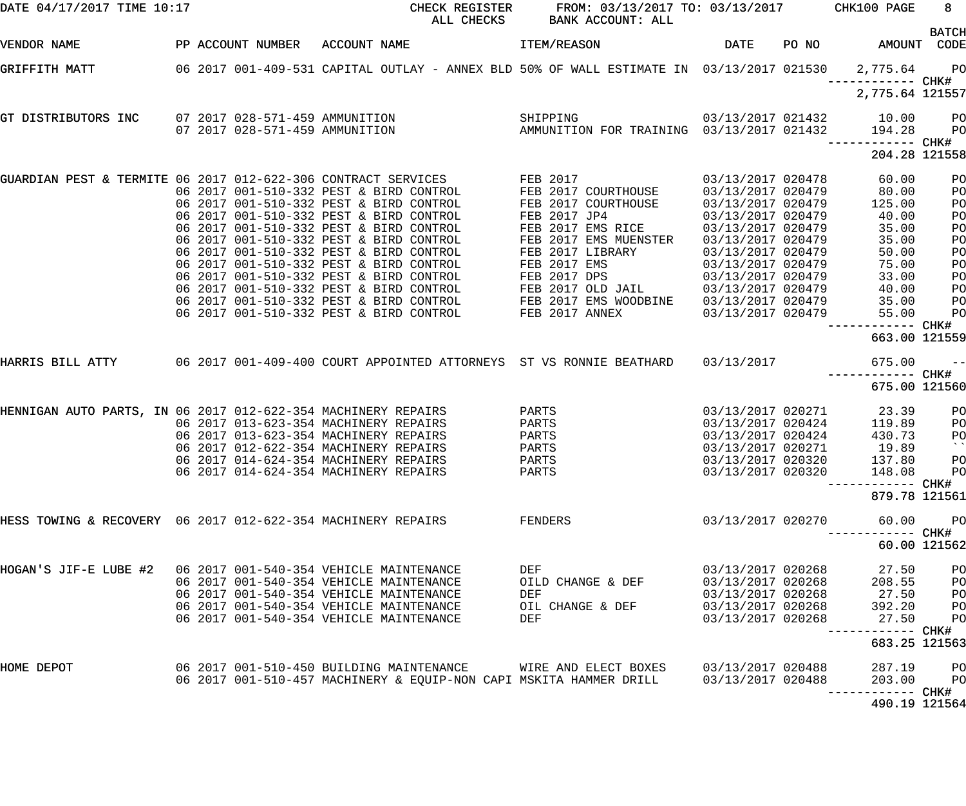| DATE 04/17/2017 TIME 10:17                                    |  | CHECK REGISTER<br>ALL CHECKS                                                                             | FROM: 03/13/2017 TO: 03/13/2017 CHK100 PAGE<br>BANK ACCOUNT: ALL |                                        |                                    | $8 -$           |
|---------------------------------------------------------------|--|----------------------------------------------------------------------------------------------------------|------------------------------------------------------------------|----------------------------------------|------------------------------------|-----------------|
| VENDOR NAME                                                   |  | PP ACCOUNT NUMBER ACCOUNT NAME                                                                           | <b>ITEM/REASON</b>                                               |                                        | DATE PO NO AMOUNT CODE             | <b>BATCH</b>    |
| GRIFFITH MATT                                                 |  | 06 2017 001-409-531 CAPITAL OUTLAY - ANNEX BLD 50% OF WALL ESTIMATE IN 03/13/2017 021530 2,775.64 PO     |                                                                  |                                        | ------------ CHK#                  |                 |
|                                                               |  |                                                                                                          |                                                                  |                                        | 2,775.64 121557                    |                 |
| GT DISTRIBUTORS INC                                           |  |                                                                                                          |                                                                  |                                        |                                    | <b>PO</b>       |
|                                                               |  |                                                                                                          |                                                                  |                                        | ------------ CHK#                  | $P$ O           |
|                                                               |  |                                                                                                          |                                                                  |                                        | 204.28 121558                      |                 |
|                                                               |  | GUARDIAN PEST & TERMITE 06 2017 012-622-306 CONTRACT SERVICES<br>06 2017 001-510-332 PEST & BIRD CONTROL | FEB 2017<br>FEB 2017 COURTHOUSE                                  | 03/13/2017 020478<br>03/13/2017 020479 | 60.00<br>80.00                     | PO<br>PO        |
|                                                               |  | 06 2017 001-510-332 PEST & BIRD CONTROL                                                                  | FEB 2017 COURTHOUSE                                              | 03/13/2017 020479                      | 125.00                             | PO              |
|                                                               |  | 06 2017 001-510-332 PEST & BIRD CONTROL                                                                  | FEB 2017 JP4                                                     | 03/13/2017 020479                      | 40.00                              | PO              |
|                                                               |  | 06 2017 001-510-332 PEST & BIRD CONTROL                                                                  | FEB 2017 EMS RICE                                                | 03/13/2017 020479                      | 35.00                              | PO              |
|                                                               |  | 06 2017 001-510-332 PEST & BIRD CONTROL                                                                  | FEB 2017 EMS MUENSTER                                            | 03/13/2017 020479                      | 35.00                              | PO              |
|                                                               |  | 06 2017 001-510-332 PEST & BIRD CONTROL                                                                  | FEB 2017 LIBRARY                                                 | 03/13/2017 020479                      | 50.00                              | PO              |
|                                                               |  | 06 2017 001-510-332 PEST & BIRD CONTROL                                                                  | <b>FEB 2017 EMS</b>                                              | 03/13/2017 020479                      | 75.00                              | PO              |
|                                                               |  | 06 2017 001-510-332 PEST & BIRD CONTROL                                                                  | <b>FEB 2017 DPS</b>                                              | 03/13/2017 020479                      | 33.00                              | PO              |
|                                                               |  | 06 2017 001-510-332 PEST & BIRD CONTROL                                                                  | FEB 2017 OLD JAIL                                                | 03/13/2017 020479                      | 40.00                              | PO              |
|                                                               |  | 06 2017 001-510-332 PEST & BIRD CONTROL                                                                  | FEB 2017 EMS WOODBINE                                            | 03/13/2017 020479                      | 35.00                              | PO              |
|                                                               |  | 06 2017 001-510-332 PEST & BIRD CONTROL                                                                  | FEB 2017 ANNEX                                                   | 03/13/2017 020479                      | 55.00                              | PO              |
|                                                               |  |                                                                                                          |                                                                  |                                        | ------------ CHK#<br>663.00 121559 |                 |
| HARRIS BILL ATTY                                              |  | 06 2017 001-409-400 COURT APPOINTED ATTORNEYS ST VS RONNIE BEATHARD 03/13/2017                           |                                                                  |                                        | 675.00                             | $ -$            |
|                                                               |  |                                                                                                          |                                                                  |                                        | ------------ CHK#<br>675.00 121560 |                 |
| HENNIGAN AUTO PARTS, IN 06 2017 012-622-354 MACHINERY REPAIRS |  |                                                                                                          | PARTS                                                            | 03/13/2017 020271                      | 23.39                              | PO              |
|                                                               |  | 06 2017 013-623-354 MACHINERY REPAIRS                                                                    | PARTS                                                            | 03/13/2017 020424                      | 119.89                             | PO              |
|                                                               |  | 06 2017 013-623-354 MACHINERY REPAIRS                                                                    | PARTS                                                            | 03/13/2017 020424                      | 430.73                             | P <sub>O</sub>  |
|                                                               |  | 06 2017 012-622-354 MACHINERY REPAIRS                                                                    | PARTS                                                            | 03/13/2017 020271                      | 19.89                              | $\sim$ $\times$ |
|                                                               |  | 06 2017 014-624-354 MACHINERY REPAIRS                                                                    | PARTS                                                            | 03/13/2017 020320                      | 137.80                             | PO              |
|                                                               |  | 06 2017 014-624-354 MACHINERY REPAIRS                                                                    | PARTS                                                            | 03/13/2017 020320                      | 148.08                             | P <sub>O</sub>  |
|                                                               |  |                                                                                                          |                                                                  |                                        |                                    |                 |
|                                                               |  |                                                                                                          |                                                                  |                                        | 879.78 121561                      |                 |
| HESS TOWING & RECOVERY 06 2017 012-622-354 MACHINERY REPAIRS  |  |                                                                                                          | FENDERS                                                          | 03/13/2017 020270                      | 60.00                              | P <sub>O</sub>  |
|                                                               |  |                                                                                                          |                                                                  |                                        |                                    | 60.00 121562    |
| HOGAN'S JIF-E LUBE #2 06 2017 001-540-354 VEHICLE MAINTENANCE |  |                                                                                                          | DEF                                                              | 03/13/2017 020268                      | 27.50                              | PO              |
|                                                               |  | 06 2017 001-540-354 VEHICLE MAINTENANCE                                                                  | OILD CHANGE & DEF                                                | 03/13/2017 020268                      | 208.55                             | PO              |
|                                                               |  | 06 2017 001-540-354 VEHICLE MAINTENANCE                                                                  | DEF                                                              | 03/13/2017 020268                      | 27.50                              | PO              |
|                                                               |  | 06 2017 001-540-354 VEHICLE MAINTENANCE                                                                  | OIL CHANGE & DEF                                                 | 03/13/2017 020268                      | 392.20                             | PO              |
|                                                               |  | 06 2017 001-540-354 VEHICLE MAINTENANCE                                                                  | DEF                                                              | 03/13/2017 020268                      | 27.50                              | PO              |
|                                                               |  |                                                                                                          |                                                                  |                                        | 683.25 121563                      |                 |
| HOME DEPOT                                                    |  | 06 2017 001-510-450 BUILDING MAINTENANCE                                                                 | WIRE AND ELECT BOXES                                             | 03/13/2017 020488                      | 287.19                             | PO              |
|                                                               |  | 06 2017 001-510-457 MACHINERY & EQUIP-NON CAPI MSKITA HAMMER DRILL                                       |                                                                  | 03/13/2017 020488                      | 203.00                             | P <sub>O</sub>  |
|                                                               |  |                                                                                                          |                                                                  |                                        |                                    |                 |
|                                                               |  |                                                                                                          |                                                                  |                                        | 490.19 121564                      |                 |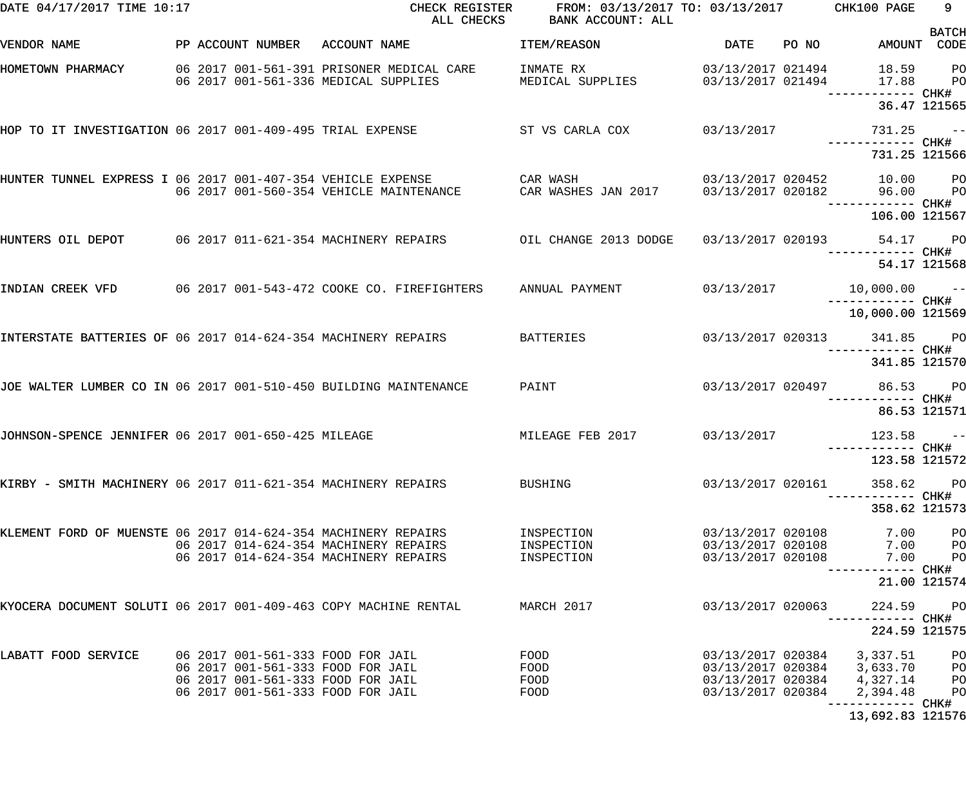| DATE 04/17/2017 TIME 10:17                                       |                                | CHECK REGISTER<br>ALL CHECKS                                                                                | FROM: 03/13/2017 TO: 03/13/2017 CHK100 PAGE<br>BANK ACCOUNT: ALL |                                                             |       |                                                 | 9                                      |
|------------------------------------------------------------------|--------------------------------|-------------------------------------------------------------------------------------------------------------|------------------------------------------------------------------|-------------------------------------------------------------|-------|-------------------------------------------------|----------------------------------------|
| VENDOR NAME                                                      | PP ACCOUNT NUMBER ACCOUNT NAME |                                                                                                             | ITEM/REASON                                                      | DATE                                                        | PO NO | AMOUNT CODE                                     | <b>BATCH</b>                           |
| HOMETOWN PHARMACY                                                |                                | 06 2017 001-561-391 PRISONER MEDICAL CARE<br>06 2017 001-561-336 MEDICAL SUPPLIES                           | INMATE RX<br>MEDICAL SUPPLIES 03/13/2017 021494                  | 03/13/2017 021494                                           |       | 18.59 PO<br>17.88<br>----------- CHK#           | <b>PO</b>                              |
|                                                                  |                                |                                                                                                             |                                                                  |                                                             |       | 36.47 121565                                    |                                        |
| HOP TO IT INVESTIGATION 06 2017 001-409-495 TRIAL EXPENSE        |                                |                                                                                                             | ST VS CARLA COX 03/13/2017                                       |                                                             |       | $731.25 - -$                                    |                                        |
|                                                                  |                                |                                                                                                             |                                                                  |                                                             |       | 731.25 121566                                   |                                        |
| HUNTER TUNNEL EXPRESS I 06 2017 001-407-354 VEHICLE EXPENSE      |                                | 06 2017 001-560-354 VEHICLE MAINTENANCE                                                                     | CAR WASH<br>CAR WASHES JAN 2017 03/13/2017 020182                |                                                             |       | 03/13/2017 020452 10.00 PO<br>96.00 PO          |                                        |
|                                                                  |                                |                                                                                                             |                                                                  |                                                             |       | 106.00 121567                                   |                                        |
|                                                                  |                                | HUNTERS OIL DEPOT 60 2017 011-621-354 MACHINERY REPAIRS 60 01L CHANGE 2013 DODGE 63/13/2017 020193 54.17 PO |                                                                  |                                                             |       |                                                 |                                        |
|                                                                  |                                |                                                                                                             |                                                                  |                                                             |       |                                                 | 54.17 121568                           |
|                                                                  |                                | INDIAN CREEK VFD 06 2017 001-543-472 COOKE CO. FIREFIGHTERS                                                 | ANNUAL PAYMENT                                                   |                                                             |       | ------------ CHK#                               |                                        |
|                                                                  |                                |                                                                                                             |                                                                  |                                                             |       | 10,000.00 121569                                |                                        |
| INTERSTATE BATTERIES OF 06 2017 014-624-354 MACHINERY REPAIRS    |                                |                                                                                                             | <b>BATTERIES</b>                                                 |                                                             |       | 03/13/2017 020313 341.85 PO                     |                                        |
|                                                                  |                                |                                                                                                             |                                                                  |                                                             |       | 341.85 121570                                   |                                        |
| JOE WALTER LUMBER CO IN 06 2017 001-510-450 BUILDING MAINTENANCE |                                |                                                                                                             | PAINT                                                            |                                                             |       | 03/13/2017 020497 86.53 PO<br>------------ CHK# |                                        |
|                                                                  |                                |                                                                                                             |                                                                  |                                                             |       | 86.53 121571                                    |                                        |
| JOHNSON-SPENCE JENNIFER 06 2017 001-650-425 MILEAGE              |                                |                                                                                                             | MILEAGE FEB 2017 03/13/2017                                      |                                                             |       | $123.58 - -$                                    |                                        |
|                                                                  |                                |                                                                                                             |                                                                  |                                                             |       | 123.58 121572                                   |                                        |
| KIRBY - SMITH MACHINERY 06 2017 011-621-354 MACHINERY REPAIRS    |                                |                                                                                                             | BUSHING                                                          | 03/13/2017 020161                                           |       | 358.62                                          | <b>PO</b><br>----- CHK#                |
|                                                                  |                                |                                                                                                             |                                                                  |                                                             |       | 358.62 121573                                   |                                        |
| KLEMENT FORD OF MUENSTE 06 2017 014-624-354 MACHINERY REPAIRS    |                                | 06 2017 014-624-354 MACHINERY REPAIRS<br>06 2017 014-624-354 MACHINERY REPAIRS                              | INSPECTION<br>INSPECTION<br>INSPECTION                           | 03/13/2017 020108<br>03/13/2017 020108<br>03/13/2017 020108 |       | 7.00<br>7.00<br>7.00                            | P <sub>O</sub><br>PО<br>P <sub>O</sub> |
|                                                                  |                                |                                                                                                             |                                                                  |                                                             |       | ------ CHK#                                     | 21.00 121574                           |
| KYOCERA DOCUMENT SOLUTI 06 2017 001-409-463 COPY MACHINE RENTAL  |                                |                                                                                                             | MARCH 2017                                                       | 03/13/2017 020063                                           |       | 224.59                                          | $P$ O                                  |
|                                                                  |                                |                                                                                                             |                                                                  |                                                             |       | 224.59 121575                                   |                                        |
| LABATT FOOD SERVICE                                              |                                | 06 2017 001-561-333 FOOD FOR JAIL<br>06 2017 001-561-333 FOOD FOR JAIL<br>06 2017 001-561-333 FOOD FOR JAIL | FOOD<br>FOOD<br>FOOD                                             | 03/13/2017 020384<br>03/13/2017 020384<br>03/13/2017 020384 |       | 3,337.51<br>3,633.70<br>4,327.14                | PО<br>PО<br>P <sub>O</sub>             |
|                                                                  |                                | 06 2017 001-561-333 FOOD FOR JAIL                                                                           | FOOD                                                             | 03/13/2017 020384                                           |       | 2,394.48                                        | PO                                     |

13,692.83 121576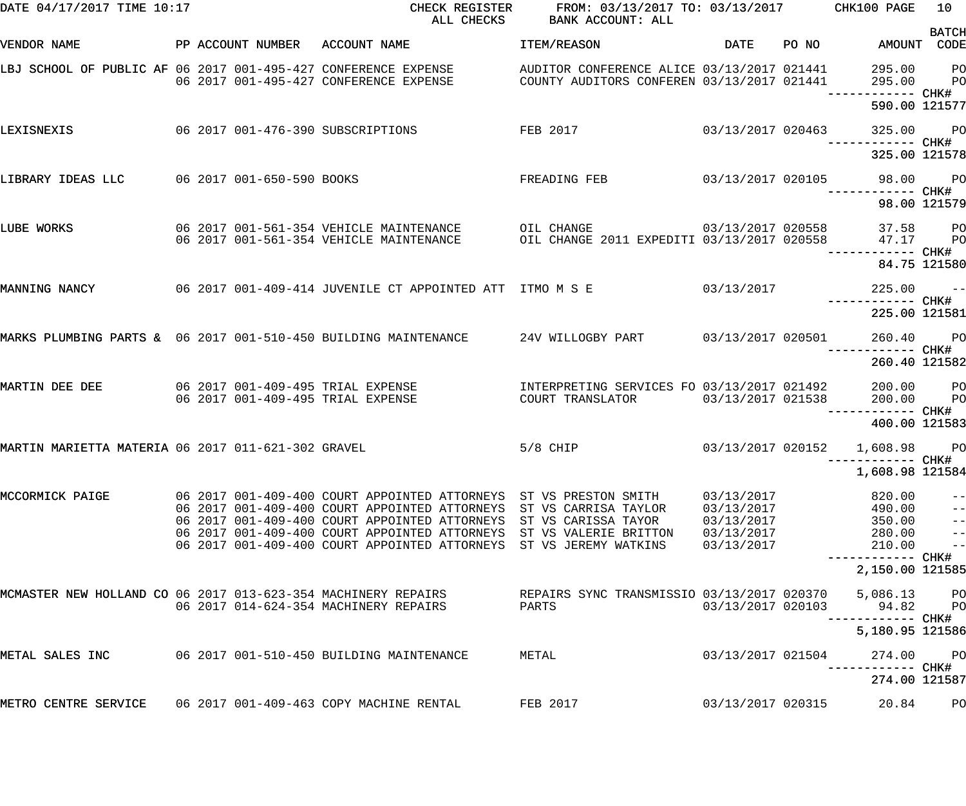| DATE 04/17/2017 TIME 10:17                                    |  | CHECK REGISTER<br>ALL CHECKS                                                                                                                                                                   | FROM: 03/13/2017 TO: 03/13/2017 CHK100 PAGE<br>BANK ACCOUNT: ALL                         |                          |       |                                    | 10                       |
|---------------------------------------------------------------|--|------------------------------------------------------------------------------------------------------------------------------------------------------------------------------------------------|------------------------------------------------------------------------------------------|--------------------------|-------|------------------------------------|--------------------------|
| VENDOR NAME                                                   |  | PP ACCOUNT NUMBER ACCOUNT NAME                                                                                                                                                                 | ITEM/REASON                                                                              | DATE                     | PO NO | AMOUNT CODE                        | <b>BATCH</b>             |
|                                                               |  | LBJ SCHOOL OF PUBLIC AF 06 2017 001-495-427 CONFERENCE EXPENSE AUDITOR CONFERENCE ALICE 03/13/2017 021441<br>06 2017 001-495-427 CONFERENCE EXPENSE COUNTY AUDITORS CONFEREN 03/13/2017 021441 | AUDITOR CONFERENCE ALICE 03/13/2017 021441<br>COUNTY AUDITORS CONFEREN 03/13/2017 021441 |                          |       | 295.00 PO<br>295.00                | <b>PO</b>                |
|                                                               |  |                                                                                                                                                                                                |                                                                                          |                          |       | 590.00 121577                      |                          |
| LEXISNEXIS                                                    |  | 06 2017 001-476-390 SUBSCRIPTIONS                                                                                                                                                              | FEB 2017                                                                                 | 03/13/2017 020463        |       | 325.00 PO                          |                          |
|                                                               |  |                                                                                                                                                                                                |                                                                                          |                          |       | 325.00 121578                      |                          |
| LIBRARY IDEAS LLC 06 2017 001-650-590 BOOKS                   |  |                                                                                                                                                                                                | $03/13/2017$ 020105<br>FREADING FEB                                                      |                          |       | 98.00 PO                           |                          |
|                                                               |  |                                                                                                                                                                                                |                                                                                          |                          |       | 98.00 121579                       |                          |
| LUBE WORKS                                                    |  | 06 2017 001-561-354 VEHICLE MAINTENANCE<br>06 2017 001-561-354 VEHICLE MAINTENANCE                                                                                                             | $03/13/2017$ 020558<br>OIL CHANGE<br>OIL CHANGE 2011 EXPEDITI 03/13/2017 020558          |                          |       | 37.58 PO<br>47.17                  | <b>PO</b>                |
|                                                               |  |                                                                                                                                                                                                |                                                                                          |                          |       | 84.75 121580                       |                          |
| MANNING NANCY                                                 |  | 06 2017 001-409-414 JUVENILE CT APPOINTED ATT ITMO M S E                                                                                                                                       |                                                                                          | 03/13/2017               |       | $225.00 - -$                       |                          |
|                                                               |  |                                                                                                                                                                                                |                                                                                          |                          |       | 225.00 121581                      |                          |
|                                                               |  | MARKS PLUMBING PARTS & 06 2017 001-510-450 BUILDING MAINTENANCE 24V WILLOGBY PART 63/13/2017 020501                                                                                            |                                                                                          |                          |       | 260.40 PO                          |                          |
|                                                               |  |                                                                                                                                                                                                |                                                                                          |                          |       | 260.40 121582                      |                          |
| MARTIN DEE DEE                                                |  | 06 2017 001-409-495 TRIAL EXPENSE<br>06 2017 001-409-495 TRIAL EXPENSE                                                                                                                         | INTERPRETING SERVICES FO 03/13/2017 021492<br>COURT TRANSLATOR 03/13/2017 021538         |                          |       | 200.00 PO<br>200.00                | <b>PO</b>                |
|                                                               |  |                                                                                                                                                                                                |                                                                                          |                          |       | —————————— CHK#<br>400.00 121583   |                          |
| MARTIN MARIETTA MATERIA 06 2017 011-621-302 GRAVEL            |  |                                                                                                                                                                                                | $5/8$ CHIP<br>$03/13/2017$ 020152 $1,608.98$ PO                                          |                          |       |                                    |                          |
|                                                               |  |                                                                                                                                                                                                |                                                                                          |                          |       | ---------- CHK#<br>1,608.98 121584 |                          |
| MCCORMICK PAIGE                                               |  | 06 2017 001-409-400 COURT APPOINTED ATTORNEYS ST VS PRESTON SMITH                                                                                                                              |                                                                                          | 03/13/2017               |       | 820.00                             | $\qquad \qquad -$        |
|                                                               |  | 06 2017 001-409-400 COURT APPOINTED ATTORNEYS ST VS CARRISA TAYLOR<br>06 2017 001-409-400 COURT APPOINTED ATTORNEYS ST VS CARISSA TAYOR                                                        |                                                                                          | 03/13/2017<br>03/13/2017 |       | 490.00<br>350.00                   | $\qquad \qquad -$<br>$-$ |
|                                                               |  | 06 2017 001-409-400 COURT APPOINTED ATTORNEYS ST VS VALERIE BRITTON                                                                                                                            |                                                                                          | 03/13/2017               |       | 280.00                             | $\frac{1}{2}$            |
|                                                               |  | 06 2017 001-409-400 COURT APPOINTED ATTORNEYS                                                                                                                                                  | ST VS JEREMY WATKINS                                                                     | 03/13/2017               |       | 210.00                             | $\frac{1}{2}$            |
|                                                               |  |                                                                                                                                                                                                |                                                                                          |                          |       | 2,150.00 121585                    |                          |
| MCMASTER NEW HOLLAND CO 06 2017 013-623-354 MACHINERY REPAIRS |  |                                                                                                                                                                                                | REPAIRS SYNC TRANSMISSIO 03/13/2017 020370                                               |                          |       | 5,086.13                           | <b>PO</b>                |
|                                                               |  | 06 2017 014-624-354 MACHINERY REPAIRS                                                                                                                                                          | PARTS                                                                                    | 03/13/2017 020103        |       | 94.82                              | $P$ O                    |
|                                                               |  |                                                                                                                                                                                                |                                                                                          |                          |       | 5,180.95 121586                    |                          |
| METAL SALES INC                                               |  | 06 2017 001-510-450 BUILDING MAINTENANCE                                                                                                                                                       | METAL                                                                                    | 03/13/2017 021504        |       | 274.00                             | $_{\rm PO}$              |
|                                                               |  |                                                                                                                                                                                                |                                                                                          |                          |       | 274.00 121587                      |                          |
| METRO CENTRE SERVICE                                          |  | 06 2017 001-409-463 COPY MACHINE RENTAL                                                                                                                                                        | FEB 2017                                                                                 | 03/13/2017 020315        |       | 20.84                              | PO                       |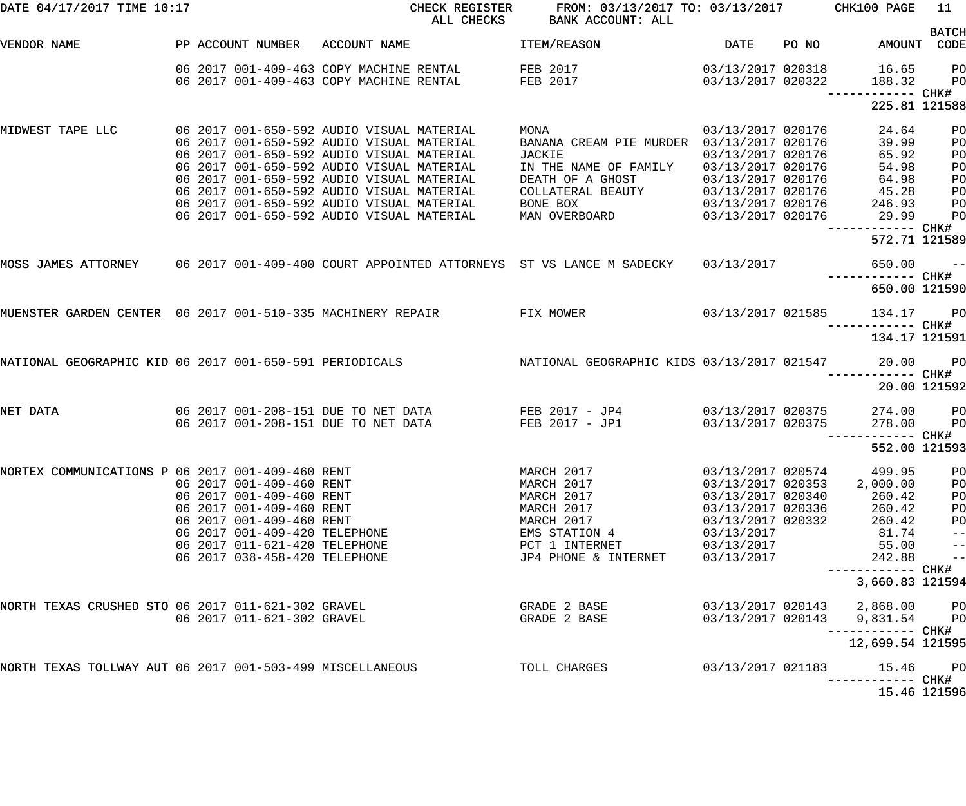| DATE 04/17/2017 TIME 10:17                                |                                                      |                                                                                        | CHECK REGISTER<br>ALL CHECKS | FROM: 03/13/2017 TO: 03/13/2017 CHK100 PAGE<br>BANK ACCOUNT: ALL                                   |                                        |           |                               | 11                         |
|-----------------------------------------------------------|------------------------------------------------------|----------------------------------------------------------------------------------------|------------------------------|----------------------------------------------------------------------------------------------------|----------------------------------------|-----------|-------------------------------|----------------------------|
|                                                           |                                                      |                                                                                        |                              |                                                                                                    |                                        |           |                               | <b>BATCH</b>               |
| VENDOR NAME                                               |                                                      | PP ACCOUNT NUMBER ACCOUNT NAME                                                         |                              | ITEM/REASON                                                                                        | DATE                                   | PO NO DIA | AMOUNT CODE                   |                            |
|                                                           |                                                      | 06 2017 001-409-463 COPY MACHINE RENTAL                                                |                              | FEB 2017                                                                                           |                                        |           | 03/13/2017 020318 16.65       | <b>PO</b>                  |
|                                                           |                                                      | 06 2017 001-409-463 COPY MACHINE RENTAL                                                |                              | FEB 2017                                                                                           | 03/13/2017 020322                      |           | 188.32                        | <b>PO</b>                  |
|                                                           |                                                      |                                                                                        |                              |                                                                                                    |                                        |           |                               |                            |
|                                                           |                                                      |                                                                                        |                              |                                                                                                    |                                        |           | 225.81 121588                 |                            |
| MIDWEST TAPE LLC                                          |                                                      | 06 2017 001-650-592 AUDIO VISUAL MATERIAL                                              |                              | MONA                                                                                               | 03/13/2017 020176                      |           | 24.64                         | PO                         |
|                                                           |                                                      | 06 2017 001-650-592 AUDIO VISUAL MATERIAL                                              |                              | BANANA CREAM PIE MURDER 03/13/2017 020176                                                          |                                        |           | 39.99                         | PO                         |
|                                                           |                                                      | 06 2017 001-650-592 AUDIO VISUAL MATERIAL                                              |                              | JACKIE                                                                                             | 03/13/2017 020176                      |           | 65.92                         | PO                         |
|                                                           |                                                      | 06 2017 001-650-592 AUDIO VISUAL MATERIAL                                              |                              | IN THE NAME OF FAMILY                                                                              | 03/13/2017 020176                      |           | 54.98                         | PO                         |
|                                                           |                                                      | 06 2017 001-650-592 AUDIO VISUAL MATERIAL<br>06 2017 001-650-592 AUDIO VISUAL MATERIAL |                              | DEATH OF A GHOST                                                                                   | 03/13/2017 020176                      |           | 64.98<br>45.28                | PО                         |
|                                                           |                                                      | 06 2017 001-650-592 AUDIO VISUAL MATERIAL                                              |                              | COLLATERAL BEAUTY<br>BONE BOX                                                                      | 03/13/2017 020176<br>03/13/2017 020176 |           | 246.93                        | PО<br>PО                   |
|                                                           |                                                      | 06 2017 001-650-592 AUDIO VISUAL MATERIAL                                              |                              | MAN OVERBOARD                                                                                      | 03/13/2017 020176                      |           | 29.99                         | PO                         |
|                                                           |                                                      |                                                                                        |                              |                                                                                                    |                                        |           |                               |                            |
|                                                           |                                                      |                                                                                        |                              |                                                                                                    |                                        |           | 572.71 121589                 |                            |
|                                                           |                                                      |                                                                                        |                              | MOSS JAMES ATTORNEY 06 2017 001-409-400 COURT APPOINTED ATTORNEYS ST VS LANCE M SADECKY 03/13/2017 |                                        |           | $650.00 - -$                  |                            |
|                                                           |                                                      |                                                                                        |                              |                                                                                                    |                                        |           |                               |                            |
|                                                           |                                                      |                                                                                        |                              |                                                                                                    |                                        |           | 650.00 121590                 |                            |
|                                                           |                                                      |                                                                                        |                              | MUENSTER GARDEN CENTER 06 2017 001-510-335 MACHINERY REPAIR FIX MOWER 63/13/2017 021585            |                                        |           | 134.17 PO                     |                            |
|                                                           |                                                      |                                                                                        |                              |                                                                                                    |                                        |           | 134.17 121591                 |                            |
|                                                           |                                                      |                                                                                        |                              | NATIONAL GEOGRAPHIC KIDS 03/13/2017 021547                                                         |                                        |           |                               |                            |
| NATIONAL GEOGRAPHIC KID 06 2017 001-650-591 PERIODICALS   |                                                      |                                                                                        |                              |                                                                                                    |                                        |           | 20.00 PO                      |                            |
|                                                           |                                                      |                                                                                        |                              |                                                                                                    |                                        |           |                               | 20.00 121592               |
| NET DATA                                                  |                                                      |                                                                                        |                              | 06 2017 001-208-151 DUE TO NET DATA FEB 2017 - JP4 63/13/2017 020375                               |                                        |           | 274.00 PO                     |                            |
|                                                           |                                                      | 06 2017 001-208-151 DUE TO NET DATA                                                    |                              | FEB 2017 - JP1                                                                                     | 03/13/2017 020375                      |           | 278.00                        | <b>PO</b>                  |
|                                                           |                                                      |                                                                                        |                              |                                                                                                    |                                        |           |                               |                            |
|                                                           |                                                      |                                                                                        |                              |                                                                                                    |                                        |           | 552.00 121593                 |                            |
| NORTEX COMMUNICATIONS P 06 2017 001-409-460 RENT          |                                                      |                                                                                        |                              | MARCH 2017                                                                                         | 03/13/2017 020574                      |           | 499.95                        | PO                         |
|                                                           | 06 2017 001-409-460 RENT                             |                                                                                        |                              | MARCH 2017                                                                                         | 03/13/2017 020353                      |           | 2,000.00                      | PO                         |
|                                                           | 06 2017 001-409-460 RENT                             |                                                                                        |                              | MARCH 2017                                                                                         | 03/13/2017 020340                      |           | 260.42                        | PO                         |
|                                                           | 06 2017 001-409-460 RENT<br>06 2017 001-409-460 RENT |                                                                                        |                              | MARCH 2017                                                                                         | 03/13/2017 020336<br>03/13/2017 020332 |           | 260.42                        | PO                         |
|                                                           | 06 2017 001-409-420 TELEPHONE                        |                                                                                        |                              | MARCH 2017<br>EMS STATION 4                                                                        | 03/13/2017                             |           | 260.42<br>81.74               | P <sub>O</sub><br>$-\:\:-$ |
|                                                           | 06 2017 011-621-420 TELEPHONE                        |                                                                                        |                              | PCT 1 INTERNET                                                                                     | 03/13/2017                             |           | 55.00                         | $\qquad \qquad -$          |
|                                                           | 06 2017 038-458-420 TELEPHONE                        |                                                                                        |                              | JP4 PHONE & INTERNET                                                                               | 03/13/2017                             |           | 242.88                        | $\qquad \qquad -$          |
|                                                           |                                                      |                                                                                        |                              |                                                                                                    |                                        |           |                               |                            |
|                                                           |                                                      |                                                                                        |                              |                                                                                                    |                                        |           | 3,660.83 121594               |                            |
| NORTH TEXAS CRUSHED STO 06 2017 011-621-302 GRAVEL        |                                                      |                                                                                        |                              | GRADE 2 BASE                                                                                       |                                        |           | 03/13/2017 020143 2,868.00    | <b>PO</b>                  |
|                                                           | 06 2017 011-621-302 GRAVEL                           |                                                                                        |                              | GRADE 2 BASE                                                                                       | 03/13/2017 020143                      |           | 9,831.54                      | <b>PO</b>                  |
|                                                           |                                                      |                                                                                        |                              |                                                                                                    |                                        |           | 12,699.54 121595              |                            |
| NORTH TEXAS TOLLWAY AUT 06 2017 001-503-499 MISCELLANEOUS |                                                      |                                                                                        |                              | TOLL CHARGES                                                                                       | 03/13/2017 021183                      |           | 15.46                         | <b>PO</b>                  |
|                                                           |                                                      |                                                                                        |                              |                                                                                                    |                                        |           | -------- CHK#<br>15.46 121596 |                            |
|                                                           |                                                      |                                                                                        |                              |                                                                                                    |                                        |           |                               |                            |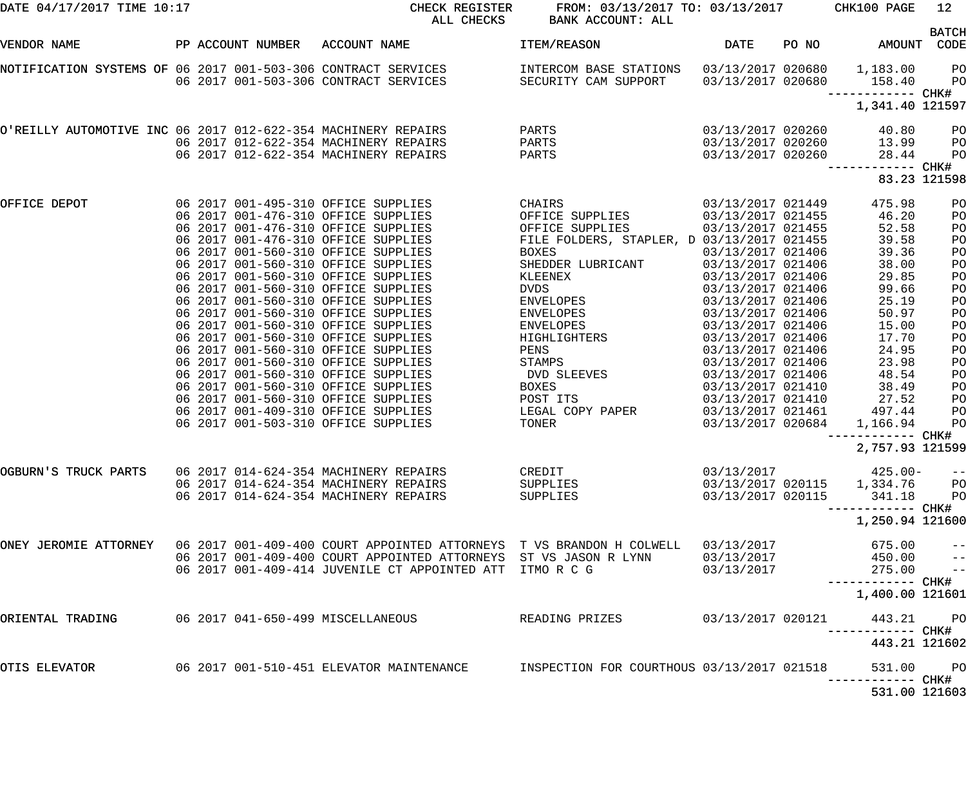| DATE 04/17/2017 TIME 10:17                                                                                                                                        |  | CHECK REGISTER<br>ALL CHECKS                                                                                                                                                                                                      | FROM: 03/13/2017 TO: 03/13/2017 CHK100 PAGE<br>BANK ACCOUNT: ALL |                                                                                                                                                                                                                                                             |       |                                                                           | 12             |
|-------------------------------------------------------------------------------------------------------------------------------------------------------------------|--|-----------------------------------------------------------------------------------------------------------------------------------------------------------------------------------------------------------------------------------|------------------------------------------------------------------|-------------------------------------------------------------------------------------------------------------------------------------------------------------------------------------------------------------------------------------------------------------|-------|---------------------------------------------------------------------------|----------------|
| VENDOR NAME                                                                                                                                                       |  | PP ACCOUNT NUMBER ACCOUNT NAME                                                                                                                                                                                                    | ITEM/REASON                                                      | DATE                                                                                                                                                                                                                                                        | PO NO | AMOUNT CODE                                                               | <b>BATCH</b>   |
|                                                                                                                                                                   |  | NOTIFICATION SYSTEMS OF 06 2017 001-503-306 CONTRACT SERVICES       INTERCOM BASE STATIONS   03/13/2017 020680   1,183.00   PO<br>06 2017 021-503-306 CONTRACT SERVICES       SECURITY CAM SUPPORT   03/13/2017 020680     158.40 |                                                                  |                                                                                                                                                                                                                                                             |       |                                                                           |                |
|                                                                                                                                                                   |  |                                                                                                                                                                                                                                   |                                                                  |                                                                                                                                                                                                                                                             |       | ------------ CHK#                                                         |                |
|                                                                                                                                                                   |  |                                                                                                                                                                                                                                   |                                                                  |                                                                                                                                                                                                                                                             |       | 1,341.40 121597                                                           |                |
| O'REILLY AUTOMOTIVE INC 06 2017 012-622-354 MACHINERY REPAIRS PARTS<br>06 2017 012-622-354 MACHINERY REPAIRS PARTS<br>06 2017 012-622-354 MACHINERY REPAIRS PARTS |  |                                                                                                                                                                                                                                   |                                                                  | 03/13/2017 020260                                                                                                                                                                                                                                           |       | 40.80                                                                     | P <sub>O</sub> |
|                                                                                                                                                                   |  |                                                                                                                                                                                                                                   |                                                                  |                                                                                                                                                                                                                                                             |       | $03/13/2017$ 020260<br>03/13/2017 020260 13.99<br>03/13/2017 020260 28.44 | $P$ O<br>PO    |
|                                                                                                                                                                   |  |                                                                                                                                                                                                                                   |                                                                  |                                                                                                                                                                                                                                                             |       |                                                                           |                |
|                                                                                                                                                                   |  |                                                                                                                                                                                                                                   |                                                                  |                                                                                                                                                                                                                                                             |       | 83.23 121598                                                              |                |
| OFFICE DEPOT                                                                                                                                                      |  | 06 2017 001-495-310 OFFICE SUPPLIES                                                                                                                                                                                               | <b>CHAIRS</b>                                                    | 03/13/2017 021449                                                                                                                                                                                                                                           |       | 475.98                                                                    | PO             |
|                                                                                                                                                                   |  | 06 2017 001-476-310 OFFICE SUPPLIES                                                                                                                                                                                               | OFFICE SUPPLIES                                                  | $\begin{array}{cccc} 03/13/2017 & 021449 \\ 03/13/2017 & 021455 \\ 03/13/2017 & 021455 \\ \text{D} & 03/13/2017 & 021455 \\ 03/13/2017 & 021406 \\ 03/13/2017 & 021406 \\ 03/13/2017 & 021406 \\ 03/13/2017 & 021406 \\ 03/13/2017 & 021406 \\ \end{array}$ |       | 46.20                                                                     | PO             |
|                                                                                                                                                                   |  | 06 2017 001-476-310 OFFICE SUPPLIES                                                                                                                                                                                               | OFFICE SUPPLIES                                                  |                                                                                                                                                                                                                                                             |       | 52.58                                                                     | PO             |
|                                                                                                                                                                   |  | 06 2017 001-476-310 OFFICE SUPPLIES                                                                                                                                                                                               | FILE FOLDERS, STAPLER, D 03/13/2017 021455                       |                                                                                                                                                                                                                                                             |       | 39.58                                                                     | PO             |
|                                                                                                                                                                   |  | 06 2017 001-560-310 OFFICE SUPPLIES<br>06 2017 001-560-310 OFFICE SUPPLIES                                                                                                                                                        | BOXES<br>SHEDDER LUBRICANT                                       |                                                                                                                                                                                                                                                             |       | 39.36<br>38.00                                                            | PO<br>PO       |
|                                                                                                                                                                   |  | 06 2017 001-560-310 OFFICE SUPPLIES                                                                                                                                                                                               | KLEENEX                                                          |                                                                                                                                                                                                                                                             |       | 29.85                                                                     | PO             |
|                                                                                                                                                                   |  | 06 2017 001-560-310 OFFICE SUPPLIES                                                                                                                                                                                               |                                                                  |                                                                                                                                                                                                                                                             |       | 99.66                                                                     | PO             |
|                                                                                                                                                                   |  | 06 2017 001-560-310 OFFICE SUPPLIES                                                                                                                                                                                               |                                                                  | 03/13/2017 021406                                                                                                                                                                                                                                           |       | 25.19                                                                     | PO             |
|                                                                                                                                                                   |  | 06 2017 001-560-310 OFFICE SUPPLIES                                                                                                                                                                                               |                                                                  | 03/13/2017 021406                                                                                                                                                                                                                                           |       | 50.97                                                                     | PO             |
|                                                                                                                                                                   |  | 06 2017 001-560-310 OFFICE SUPPLIES                                                                                                                                                                                               |                                                                  | 03/13/2017 021406                                                                                                                                                                                                                                           |       | 15.00                                                                     | PO             |
|                                                                                                                                                                   |  | 06 2017 001-560-310 OFFICE SUPPLIES                                                                                                                                                                                               |                                                                  | 03/13/2017 021406                                                                                                                                                                                                                                           |       | 17.70                                                                     | PO             |
|                                                                                                                                                                   |  | 06 2017 001-560-310 OFFICE SUPPLIES                                                                                                                                                                                               | PENS                                                             | 03/13/2017 021406                                                                                                                                                                                                                                           |       | 24.95                                                                     | PO             |
|                                                                                                                                                                   |  | 06 2017 001-560-310 OFFICE SUPPLIES                                                                                                                                                                                               |                                                                  | 03/13/2017 021406                                                                                                                                                                                                                                           |       | 23.98                                                                     | PO             |
|                                                                                                                                                                   |  | 06 2017 001-560-310 OFFICE SUPPLIES                                                                                                                                                                                               | STAMPS<br>DVD SLEEVES                                            | 03/13/2017 021406                                                                                                                                                                                                                                           |       | 48.54                                                                     | PO             |
|                                                                                                                                                                   |  | 06 2017 001-560-310 OFFICE SUPPLIES                                                                                                                                                                                               | BOXES                                                            | 03/13/2017 021410                                                                                                                                                                                                                                           |       | 38.49                                                                     | PO             |
|                                                                                                                                                                   |  | 06 2017 001-560-310 OFFICE SUPPLIES                                                                                                                                                                                               | POST ITS                                                         | $03/13/2017 02141003/13/2017 021461$                                                                                                                                                                                                                        |       | 27.52                                                                     | P <sub>O</sub> |
|                                                                                                                                                                   |  | 06 2017 001-409-310 OFFICE SUPPLIES                                                                                                                                                                                               | LEGAL COPY PAPER                                                 |                                                                                                                                                                                                                                                             |       | 497.44                                                                    | P <sub>O</sub> |
|                                                                                                                                                                   |  | 06 2017 001-503-310 OFFICE SUPPLIES                                                                                                                                                                                               | TONER                                                            | 03/13/2017 020684                                                                                                                                                                                                                                           |       | 1,166.94                                                                  | PO             |
|                                                                                                                                                                   |  |                                                                                                                                                                                                                                   |                                                                  |                                                                                                                                                                                                                                                             |       |                                                                           |                |
|                                                                                                                                                                   |  |                                                                                                                                                                                                                                   |                                                                  |                                                                                                                                                                                                                                                             |       | 2,757.93 121599                                                           |                |
| OGBURN'S TRUCK PARTS                                                                                                                                              |  | 06 2017 014-624-354 MACHINERY REPAIRS                                                                                                                                                                                             | CREDIT                                                           |                                                                                                                                                                                                                                                             |       | $03/13/2017$ 425.00-                                                      | $- -$          |
|                                                                                                                                                                   |  | 06 2017 014-624-354 MACHINERY REPAIRS                                                                                                                                                                                             | SUPPLIES                                                         |                                                                                                                                                                                                                                                             |       | $03/13/2017$ 020115 1,334.76                                              | P <sub>O</sub> |
|                                                                                                                                                                   |  | 06 2017 014-624-354 MACHINERY REPAIRS                                                                                                                                                                                             | SUPPLIES                                                         | 03/13/2017 020115                                                                                                                                                                                                                                           |       | 341.18                                                                    | $P$ O          |
|                                                                                                                                                                   |  |                                                                                                                                                                                                                                   |                                                                  |                                                                                                                                                                                                                                                             |       | ----------- CHK#                                                          |                |
|                                                                                                                                                                   |  |                                                                                                                                                                                                                                   |                                                                  |                                                                                                                                                                                                                                                             |       | 1,250.94 121600                                                           |                |
|                                                                                                                                                                   |  | ONEY JEROMIE ATTORNEY 06 2017 001-409-400 COURT APPOINTED ATTORNEYS T VS BRANDON H COLWELL                                                                                                                                        |                                                                  | 03/13/2017                                                                                                                                                                                                                                                  |       | 675.00                                                                    | $-$            |
|                                                                                                                                                                   |  | 06 2017 001-409-400 COURT APPOINTED ATTORNEYS ST VS JASON R LYNN                                                                                                                                                                  |                                                                  | 03/13/2017                                                                                                                                                                                                                                                  |       | 450.00                                                                    | $\overline{a}$ |
|                                                                                                                                                                   |  | 06 2017 001-409-414 JUVENILE CT APPOINTED ATT ITMO R C G                                                                                                                                                                          |                                                                  | 03/13/2017                                                                                                                                                                                                                                                  |       | 275.00                                                                    | $ -$           |
|                                                                                                                                                                   |  |                                                                                                                                                                                                                                   |                                                                  |                                                                                                                                                                                                                                                             |       | 1,400.00 121601                                                           |                |
| ORIENTAL TRADING                                                                                                                                                  |  | 06 2017 041-650-499 MISCELLANEOUS                                                                                                                                                                                                 | READING PRIZES                                                   | 03/13/2017 020121                                                                                                                                                                                                                                           |       | 443.21 PO<br>----------- CHK#                                             |                |
|                                                                                                                                                                   |  |                                                                                                                                                                                                                                   |                                                                  |                                                                                                                                                                                                                                                             |       | 443.21 121602                                                             |                |
| OTIS ELEVATOR                                                                                                                                                     |  | 06 2017 001-510-451 ELEVATOR MAINTENANCE                                                                                                                                                                                          | INSPECTION FOR COURTHOUS 03/13/2017 021518                       |                                                                                                                                                                                                                                                             |       | 531.00 PO                                                                 |                |
|                                                                                                                                                                   |  |                                                                                                                                                                                                                                   |                                                                  |                                                                                                                                                                                                                                                             |       | 531.00 121603                                                             |                |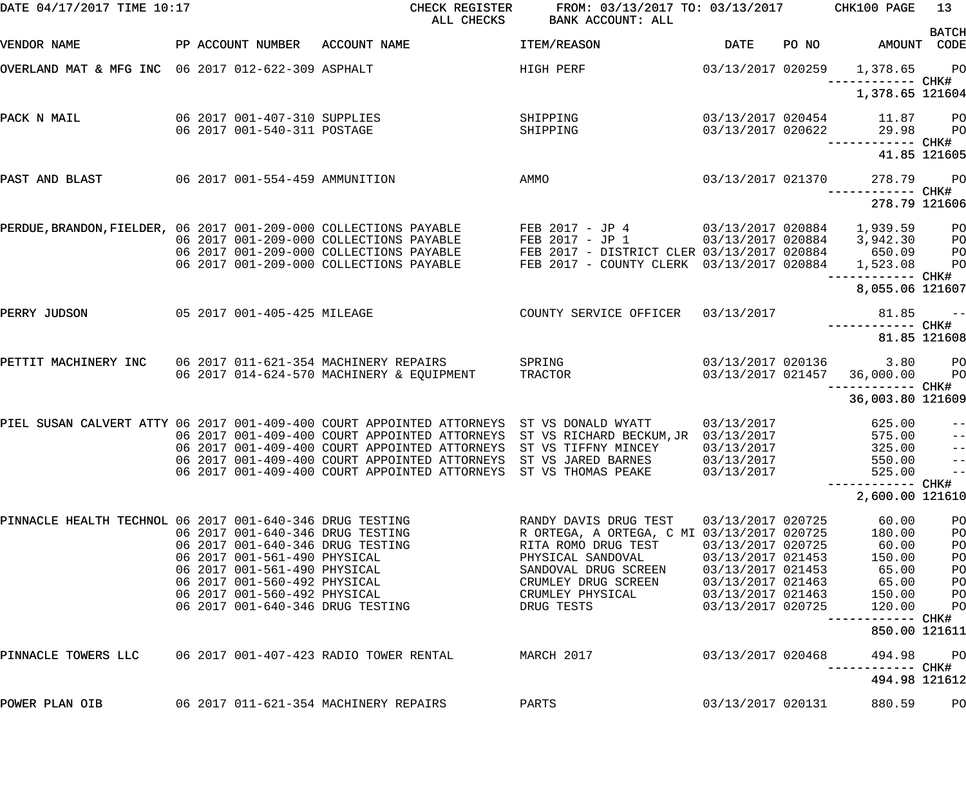| DATE 04/17/2017 TIME 10:17                               |                                                                  | CHECK REGISTER<br>ALL CHECKS                                                             | FROM: 03/13/2017 TO: 03/13/2017 CHK100 PAGE<br>BANK ACCOUNT: ALL |                                        |       |                                              | 13             |
|----------------------------------------------------------|------------------------------------------------------------------|------------------------------------------------------------------------------------------|------------------------------------------------------------------|----------------------------------------|-------|----------------------------------------------|----------------|
| VENDOR NAME                                              | PP ACCOUNT NUMBER                                                | ACCOUNT NAME                                                                             | ITEM/REASON                                                      | <b>DATE</b>                            | PO NO | AMOUNT CODE                                  | <b>BATCH</b>   |
| OVERLAND MAT & MFG INC 06 2017 012-622-309 ASPHALT       |                                                                  |                                                                                          | HIGH PERF                                                        | 03/13/2017 020259                      |       | 1,378.65 PO                                  |                |
|                                                          |                                                                  |                                                                                          |                                                                  |                                        |       | —————————— CHK#<br>1,378.65 121604           |                |
| PACK N MAIL                                              | 06 2017 001-407-310 SUPPLIES<br>06 2017 001-540-311 POSTAGE      |                                                                                          | SHIPPING<br>SHIPPING                                             | 03/13/2017 020454<br>03/13/2017 020622 |       | 11.87 PO<br>29.98                            | <b>PO</b>      |
|                                                          |                                                                  |                                                                                          |                                                                  |                                        |       |                                              | 41.85 121605   |
| PAST AND BLAST                                           | 06 2017 001-554-459 AMMUNITION                                   |                                                                                          | AMMO                                                             | 03/13/2017 021370                      |       | 278.79                                       | <b>PO</b>      |
|                                                          |                                                                  |                                                                                          |                                                                  |                                        |       | 278.79 121606                                |                |
|                                                          |                                                                  | PERDUE, BRANDON, FIELDER, 06 2017 001-209-000 COLLECTIONS PAYABLE                        | FEB 2017 - JP 4 03/13/2017 020884                                |                                        |       | 1,939.59                                     | PО             |
|                                                          |                                                                  | 06 2017 001-209-000 COLLECTIONS PAYABLE                                                  | FEB 2017 - JP 1                                                  | 03/13/2017 020884                      |       | 3,942.30                                     | PO             |
|                                                          |                                                                  | 06 2017 001-209-000 COLLECTIONS PAYABLE                                                  | FEB 2017 - DISTRICT CLER 03/13/2017 020884                       |                                        |       | 650.09                                       | P <sub>O</sub> |
|                                                          |                                                                  | 06 2017 001-209-000 COLLECTIONS PAYABLE                                                  | FEB 2017 - COUNTY CLERK 03/13/2017 020884                        |                                        |       | 1,523.08                                     | P <sub>O</sub> |
|                                                          |                                                                  |                                                                                          |                                                                  |                                        |       | 8,055.06 121607                              |                |
| PERRY JUDSON                                             | 05 2017 001-405-425 MILEAGE                                      |                                                                                          | COUNTY SERVICE OFFICER 03/13/2017                                |                                        |       | 81.85                                        | $\sim$ $ -$    |
|                                                          |                                                                  |                                                                                          |                                                                  |                                        |       |                                              | 81.85 121608   |
| PETTIT MACHINERY INC                                     |                                                                  | 06 2017 011-621-354 MACHINERY REPAIRS                                                    | SPRING                                                           |                                        |       | 03/13/2017 020136 3.80                       | <b>PO</b>      |
|                                                          |                                                                  | 06 2017 014-624-570 MACHINERY & EQUIPMENT                                                | TRACTOR                                                          | 03/13/2017 021457                      |       | 36,000.00                                    | $P$ O          |
|                                                          |                                                                  |                                                                                          |                                                                  |                                        |       | -----------         CHK#<br>36,003.80 121609 |                |
|                                                          |                                                                  | PIEL SUSAN CALVERT ATTY 06 2017 001-409-400 COURT APPOINTED ATTORNEYS ST VS DONALD WYATT |                                                                  | 03/13/2017                             |       | 625.00                                       | $-\:\:-$       |
|                                                          |                                                                  | 06 2017 001-409-400 COURT APPOINTED ATTORNEYS ST VS RICHARD BECKUM, JR 03/13/2017        |                                                                  |                                        |       | 575.00                                       |                |
|                                                          |                                                                  | 06 2017 001-409-400 COURT APPOINTED ATTORNEYS                                            | ST VS TIFFNY MINCEY                                              | 03/13/2017                             |       | 325.00                                       | $\frac{-}{1}$  |
|                                                          |                                                                  | 06 2017 001-409-400 COURT APPOINTED ATTORNEYS ST VS JARED BARNES                         |                                                                  | 03/13/2017                             |       | 550.00                                       | $ -$           |
|                                                          |                                                                  | 06 2017 001-409-400 COURT APPOINTED ATTORNEYS ST VS THOMAS PEAKE                         |                                                                  | 03/13/2017                             |       | 525.00                                       | $ -$           |
|                                                          |                                                                  |                                                                                          |                                                                  |                                        |       | 2,600.00 121610                              |                |
| PINNACLE HEALTH TECHNOL 06 2017 001-640-346 DRUG TESTING |                                                                  |                                                                                          | RANDY DAVIS DRUG TEST                                            | 03/13/2017 020725                      |       | 60.00                                        | PO             |
|                                                          | 06 2017 001-640-346 DRUG TESTING                                 |                                                                                          | R ORTEGA, A ORTEGA, C MI 03/13/2017 020725                       |                                        |       | 180.00                                       | PO             |
|                                                          | 06 2017 001-640-346 DRUG TESTING<br>06 2017 001-561-490 PHYSICAL |                                                                                          | RITA ROMO DRUG TEST                                              | 03/13/2017 020725<br>03/13/2017 021453 |       | 60.00                                        | PO             |
|                                                          | 06 2017 001-561-490 PHYSICAL                                     |                                                                                          | PHYSICAL SANDOVAL<br>SANDOVAL DRUG SCREEN                        | 03/13/2017 021453                      |       | 150.00<br>65.00                              | PO<br>PO       |
|                                                          | 06 2017 001-560-492 PHYSICAL                                     |                                                                                          | CRUMLEY DRUG SCREEN                                              | 03/13/2017 021463                      |       | 65.00                                        | PO             |
|                                                          | 06 2017 001-560-492 PHYSICAL                                     |                                                                                          | CRUMLEY PHYSICAL                                                 | 03/13/2017 021463                      |       | 150.00                                       | PO             |
|                                                          | 06 2017 001-640-346 DRUG TESTING                                 |                                                                                          | DRUG TESTS                                                       | 03/13/2017 020725                      |       | 120.00                                       | PO             |
|                                                          |                                                                  |                                                                                          |                                                                  |                                        |       | 850.00 121611                                |                |
| PINNACLE TOWERS LLC                                      |                                                                  | 06 2017 001-407-423 RADIO TOWER RENTAL                                                   | MARCH 2017                                                       | 03/13/2017 020468                      |       | 494.98                                       | PО             |
|                                                          |                                                                  |                                                                                          |                                                                  |                                        |       | 494.98 121612                                |                |
| POWER PLAN OIB                                           |                                                                  | 06 2017 011-621-354 MACHINERY REPAIRS                                                    | PARTS                                                            | 03/13/2017 020131                      |       | 880.59                                       | PO             |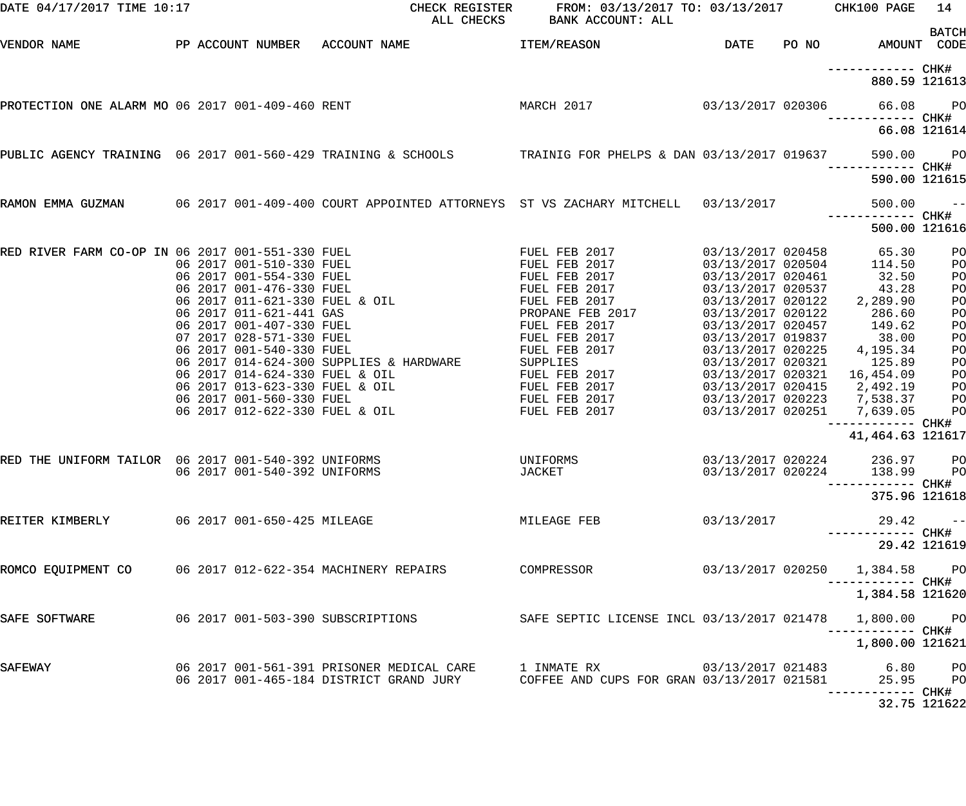| DATE 04/17/2017 TIME 10:17                              |                                                          | CHECK REGISTER<br>ALL CHECKS                                                                                                                                                                                                                                                                                                                                                                                                     | FROM: 03/13/2017 TO: 03/13/2017 CHK100 PAGE<br>BANK ACCOUNT: ALL                                                                                                                                                                                               |                                                                                                                                                                                                                                                                                                                         |       |                                                                                                                                                                                                                                                    | 14                                                                               |
|---------------------------------------------------------|----------------------------------------------------------|----------------------------------------------------------------------------------------------------------------------------------------------------------------------------------------------------------------------------------------------------------------------------------------------------------------------------------------------------------------------------------------------------------------------------------|----------------------------------------------------------------------------------------------------------------------------------------------------------------------------------------------------------------------------------------------------------------|-------------------------------------------------------------------------------------------------------------------------------------------------------------------------------------------------------------------------------------------------------------------------------------------------------------------------|-------|----------------------------------------------------------------------------------------------------------------------------------------------------------------------------------------------------------------------------------------------------|----------------------------------------------------------------------------------|
| VENDOR NAME                                             |                                                          | PP ACCOUNT NUMBER ACCOUNT NAME TEM/REASON                                                                                                                                                                                                                                                                                                                                                                                        |                                                                                                                                                                                                                                                                | DATE                                                                                                                                                                                                                                                                                                                    | PO NO |                                                                                                                                                                                                                                                    | <b>BATCH</b><br>AMOUNT CODE                                                      |
|                                                         |                                                          |                                                                                                                                                                                                                                                                                                                                                                                                                                  |                                                                                                                                                                                                                                                                |                                                                                                                                                                                                                                                                                                                         |       | 880.59 121613                                                                                                                                                                                                                                      |                                                                                  |
| PROTECTION ONE ALARM MO 06 2017 001-409-460 RENT        |                                                          | MARCH 2017                                                                                                                                                                                                                                                                                                                                                                                                                       |                                                                                                                                                                                                                                                                | 03/13/2017 020306                                                                                                                                                                                                                                                                                                       |       | 66.08<br>----------- CHK#                                                                                                                                                                                                                          | <b>PO</b>                                                                        |
|                                                         |                                                          |                                                                                                                                                                                                                                                                                                                                                                                                                                  |                                                                                                                                                                                                                                                                |                                                                                                                                                                                                                                                                                                                         |       |                                                                                                                                                                                                                                                    | 66.08 121614                                                                     |
|                                                         |                                                          | PUBLIC AGENCY TRAINING 06 2017 001-560-429 TRAINING & SCHOOLS TRAINIG FOR PHELPS & DAN 03/13/2017 019637                                                                                                                                                                                                                                                                                                                         |                                                                                                                                                                                                                                                                |                                                                                                                                                                                                                                                                                                                         |       | 590.00                                                                                                                                                                                                                                             | <b>PO</b>                                                                        |
|                                                         |                                                          |                                                                                                                                                                                                                                                                                                                                                                                                                                  |                                                                                                                                                                                                                                                                |                                                                                                                                                                                                                                                                                                                         |       | 590.00 121615                                                                                                                                                                                                                                      |                                                                                  |
|                                                         |                                                          | RAMON EMMA GUZMAN 600 000 2017 001-409-400 COURT APPOINTED ATTORNEYS ST VS ZACHARY MITCHELL 63/13/2017                                                                                                                                                                                                                                                                                                                           |                                                                                                                                                                                                                                                                |                                                                                                                                                                                                                                                                                                                         |       | 500.00<br>------------ CHK#                                                                                                                                                                                                                        | $\sim$ $ -$                                                                      |
|                                                         |                                                          |                                                                                                                                                                                                                                                                                                                                                                                                                                  |                                                                                                                                                                                                                                                                |                                                                                                                                                                                                                                                                                                                         |       | 500.00 121616                                                                                                                                                                                                                                      |                                                                                  |
| RED THE UNIFORM TAILOR 06 2017 001-540-392 UNIFORMS     | 06 2017 001-540-330 FUEL<br>06 2017 001-540-392 UNIFORMS | RED RIVER FARM CO-OP IN 06 2017 001-551-330 FUEL<br>06 2017 001-510-330 FUEL<br>06 2017 001-554-330 FUEL<br>06 2017 001-476-330 FUEL<br>06 2017 011-621-330 FUEL & OIL<br>06 2017 011-621-444 GAS<br>06 2017 01-407-330 FUEL<br>07 2017 028-571-330<br>06 2017 014-624-300 SUPPLIES & HARDWARE<br>06 2017 014-624-330 FUEL & OIL<br>06 2017 013-623-330 FUEL & OIL<br>06 2017 001-560-330 FUEL<br>06 2017 012-622-330 FUEL & OIL | FUEL FEB 2017<br>FUEL FEB 2017<br>FUEL FEB 2017<br>FUEL FEB 2017<br>FUEL FEB 2017<br>PROPANE FEB 2017<br>FUEL FEB 2017<br>FUEL FEB 2017<br>FUEL FEB 2017<br>SUPPLIES<br>FUEL FEB 2017<br>FUEL FEB 2017<br>FUEL FEB 2017<br>FUEL FEB 2017<br>UNIFORMS<br>JACKET | 03/13/2017 020458<br>03/13/2017 020504<br>03/13/2017 020461<br>03/13/2017 020537<br>03/13/2017 020122<br>03/13/2017 020122<br>03/13/2017 020457<br>03/13/2017 019837<br>03/13/2017 020225<br>03/13/2017 020321<br>03/13/2017 020321<br>03/13/2017 020415<br>03/13/2017 020223<br>03/13/2017 020251<br>03/13/2017 020224 |       | 65.30<br>114.50<br>32.50<br>43.28<br>2,289.90<br>286.60<br>$\frac{200}{149.62}$<br>38.00<br>4,195.34<br>125.89<br>16,454.09<br>2,492.19<br>7,538.37<br>7,639.05<br>41, 464. 63 121617<br>03/13/2017 020224 236.97 PO<br>138.99 PO<br>375.96 121618 | PO<br>PO<br>PO<br>PO<br>PO<br>PO<br>PO<br>PO<br>PO<br>PO<br>PO<br>PO<br>PO<br>PO |
|                                                         |                                                          |                                                                                                                                                                                                                                                                                                                                                                                                                                  | MILEAGE FEB                                                                                                                                                                                                                                                    | 03/13/2017                                                                                                                                                                                                                                                                                                              |       | ------------ CHK#                                                                                                                                                                                                                                  | $29.42 - -$<br>29.42 121619                                                      |
| ROMCO EQUIPMENT CO 6 2017 012-622-354 MACHINERY REPAIRS |                                                          |                                                                                                                                                                                                                                                                                                                                                                                                                                  | COMPRESSOR                                                                                                                                                                                                                                                     |                                                                                                                                                                                                                                                                                                                         |       | 03/13/2017 020250 1,384.58 PO<br>------------ CHK#                                                                                                                                                                                                 |                                                                                  |
|                                                         |                                                          |                                                                                                                                                                                                                                                                                                                                                                                                                                  |                                                                                                                                                                                                                                                                |                                                                                                                                                                                                                                                                                                                         |       | 1,384.58 121620                                                                                                                                                                                                                                    |                                                                                  |
| SAFE SOFTWARE                                           |                                                          | 06 2017 001-503-390 SUBSCRIPTIONS                                                                                                                                                                                                                                                                                                                                                                                                | SAFE SEPTIC LICENSE INCL 03/13/2017 021478                                                                                                                                                                                                                     |                                                                                                                                                                                                                                                                                                                         |       | 1,800.00 PO<br>----------- CHK#                                                                                                                                                                                                                    |                                                                                  |
|                                                         |                                                          |                                                                                                                                                                                                                                                                                                                                                                                                                                  |                                                                                                                                                                                                                                                                |                                                                                                                                                                                                                                                                                                                         |       | 1,800.00 121621                                                                                                                                                                                                                                    |                                                                                  |
| SAFEWAY                                                 |                                                          | 06 2017 001-561-391 PRISONER MEDICAL CARE      1 INMATE RX                03/13/2017 021483        6.80     PO<br>06 2017 001-465-184 DISTRICT GRAND JURY COFFEE AND CUPS FOR GRAN 03/13/2017 021581                                                                                                                                                                                                                             |                                                                                                                                                                                                                                                                |                                                                                                                                                                                                                                                                                                                         |       |                                                                                                                                                                                                                                                    | 25.95 PO                                                                         |
|                                                         |                                                          |                                                                                                                                                                                                                                                                                                                                                                                                                                  |                                                                                                                                                                                                                                                                |                                                                                                                                                                                                                                                                                                                         |       |                                                                                                                                                                                                                                                    | 32.75 121622                                                                     |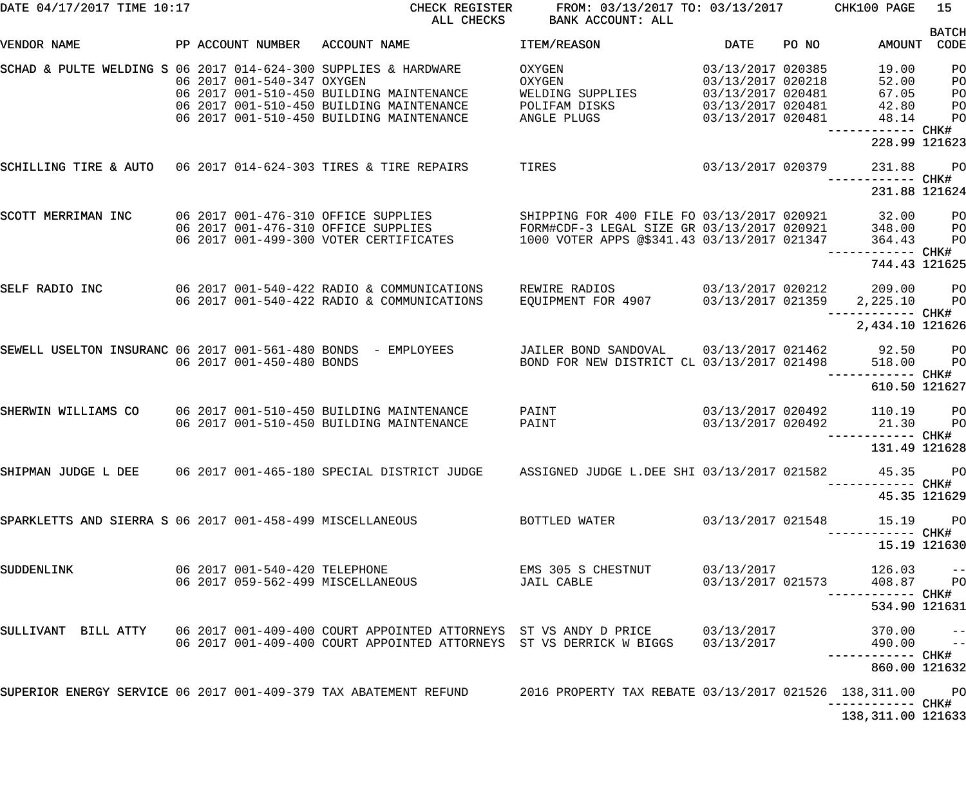| DATE 04/17/2017 TIME 10:17                                      |                               | CHECK REGISTER<br>ALL CHECKS                                                                                                                                                      | FROM: 03/13/2017 TO: 03/13/2017 CHK100 PAGE<br>BANK ACCOUNT: ALL                                                                        |                                                                                                       |       |                                           | 15                                     |
|-----------------------------------------------------------------|-------------------------------|-----------------------------------------------------------------------------------------------------------------------------------------------------------------------------------|-----------------------------------------------------------------------------------------------------------------------------------------|-------------------------------------------------------------------------------------------------------|-------|-------------------------------------------|----------------------------------------|
| VENDOR NAME                                                     | PP ACCOUNT NUMBER             | ACCOUNT NAME                                                                                                                                                                      | ITEM/REASON                                                                                                                             | <b>DATE</b>                                                                                           | PO NO |                                           | <b>BATCH</b><br>AMOUNT CODE            |
| SCHAD & PULTE WELDING S 06 2017 014-624-300 SUPPLIES & HARDWARE | 06 2017 001-540-347 OXYGEN    | 06 2017 001-510-450 BUILDING MAINTENANCE<br>06 2017 001-510-450 BUILDING MAINTENANCE<br>06 2017 001-510-450 BUILDING MAINTENANCE                                                  | OXYGEN<br>OXYGEN<br>WELDING SUPPLIES<br>POLIFAM DISKS<br>ANGLE PLUGS                                                                    | 03/13/2017 020385<br>03/13/2017 020218<br>03/13/2017 020481<br>03/13/2017 020481<br>03/13/2017 020481 |       | 19.00<br>52.00<br>67.05<br>42.80<br>48.14 | PO<br>PO<br>PO<br>PO<br>PO             |
|                                                                 |                               |                                                                                                                                                                                   |                                                                                                                                         |                                                                                                       |       | ------------ CHK#<br>228.99 121623        |                                        |
| SCHILLING TIRE & AUTO 06 2017 014-624-303 TIRES & TIRE REPAIRS  |                               |                                                                                                                                                                                   | TIRES                                                                                                                                   | 03/13/2017 020379                                                                                     |       | 231.88<br>------------ CHK#               | <b>PO</b>                              |
|                                                                 |                               |                                                                                                                                                                                   |                                                                                                                                         |                                                                                                       |       | 231.88 121624                             |                                        |
| SCOTT MERRIMAN INC                                              |                               | 06 2017 001-476-310 OFFICE SUPPLIES<br>06 2017 001-476-310 OFFICE SUPPLIES<br>06 2017 001-499-300 VOTER CERTIFICATES                                                              | SHIPPING FOR 400 FILE FO 03/13/2017 020921<br>FORM#CDF-3 LEGAL SIZE GR 03/13/2017 020921<br>1000 VOTER APPS @\$341.43 03/13/2017 021347 |                                                                                                       |       | 32.00<br>348.00<br>364.43                 | P <sub>O</sub><br>P <sub>O</sub><br>PO |
|                                                                 |                               |                                                                                                                                                                                   |                                                                                                                                         |                                                                                                       |       | 744.43 121625                             |                                        |
| SELF RADIO INC                                                  |                               | 06 2017 001-540-422 RADIO & COMMUNICATIONS<br>06 2017 001-540-422 RADIO & COMMUNICATIONS                                                                                          | REWIRE RADIOS<br>EQUIPMENT FOR 4907                                                                                                     | 03/13/2017 020212<br>03/13/2017 021359                                                                |       | 209.00<br>2,225.10<br>—————————— CHK#     | P <sub>O</sub><br>P <sub>O</sub>       |
|                                                                 |                               |                                                                                                                                                                                   |                                                                                                                                         |                                                                                                       |       | 2,434.10 121626                           |                                        |
| SEWELL USELTON INSURANC 06 2017 001-561-480 BONDS - EMPLOYEES   | 06 2017 001-450-480 BONDS     |                                                                                                                                                                                   | JAILER BOND SANDOVAL 03/13/2017 021462<br>BOND FOR NEW DISTRICT CL 03/13/2017 021498                                                    |                                                                                                       |       | 92.50<br>518.00<br>—————————— CHK#        | P <sub>O</sub><br>P <sub>O</sub>       |
|                                                                 |                               |                                                                                                                                                                                   |                                                                                                                                         |                                                                                                       |       | 610.50 121627                             |                                        |
| SHERWIN WILLIAMS CO                                             |                               | 06 2017 001-510-450 BUILDING MAINTENANCE<br>06 2017 001-510-450 BUILDING MAINTENANCE                                                                                              | PAINT<br>PAINT                                                                                                                          | 03/13/2017 020492<br>03/13/2017 020492                                                                |       | 110.19<br>21.30<br>—————————— CHK#        | P <sub>O</sub><br>P <sub>O</sub>       |
|                                                                 |                               |                                                                                                                                                                                   |                                                                                                                                         |                                                                                                       |       | 131.49 121628                             |                                        |
|                                                                 |                               | SHIPMAN JUDGE L DEE 30 2017 001-465-180 SPECIAL DISTRICT JUDGE 3 ASSIGNED JUDGE L.DEE SHI 03/13/2017 021582                                                                       |                                                                                                                                         |                                                                                                       |       | 45.35 PO                                  |                                        |
|                                                                 |                               |                                                                                                                                                                                   |                                                                                                                                         |                                                                                                       |       |                                           | 45.35 121629                           |
| SPARKLETTS AND SIERRA S 06 2017 001-458-499 MISCELLANEOUS       |                               |                                                                                                                                                                                   | BOTTLED WATER                                                                                                                           | 03/13/2017 021548                                                                                     |       | 15.19 PO                                  |                                        |
|                                                                 |                               |                                                                                                                                                                                   |                                                                                                                                         |                                                                                                       |       | 15.19 121630                              |                                        |
| SUDDENLINK                                                      | 06 2017 001-540-420 TELEPHONE | 06 2017 059-562-499 MISCELLANEOUS                                                                                                                                                 | EMS 305 S CHESTNUT<br>JAIL CABLE                                                                                                        | 03/13/2017<br>03/13/2017 021573                                                                       |       | $126.03 - -$<br>408.87 PO                 |                                        |
|                                                                 |                               |                                                                                                                                                                                   |                                                                                                                                         |                                                                                                       |       | 534.90 121631                             |                                        |
|                                                                 |                               | SULLIVANT BILL ATTY 06 2017 001-409-400 COURT APPOINTED ATTORNEYS ST VS ANDY D PRICE 03/13/2017<br>06 2017 001-409-400 COURT APPOINTED ATTORNEYS ST VS DERRICK W BIGGS 03/13/2017 |                                                                                                                                         |                                                                                                       |       | 370.00 −−<br>490.00 −−                    |                                        |
|                                                                 |                               |                                                                                                                                                                                   |                                                                                                                                         |                                                                                                       |       | 860.00 121632                             |                                        |
|                                                                 |                               | SUPERIOR ENERGY SERVICE 06 2017 001-409-379 TAX ABATEMENT REFUND 2016 PROPERTY TAX REBATE 03/13/2017 021526 138,311.00 PO                                                         |                                                                                                                                         |                                                                                                       |       | -----------         CHK#                  |                                        |
|                                                                 |                               |                                                                                                                                                                                   |                                                                                                                                         |                                                                                                       |       | 138,311.00 121633                         |                                        |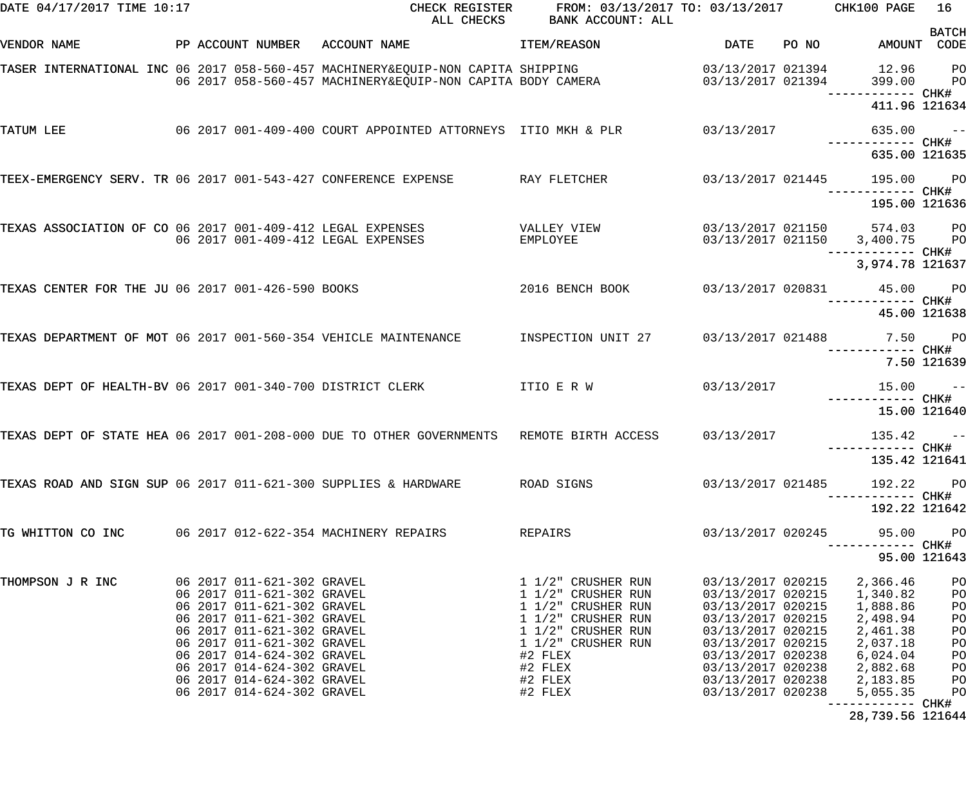| DATE 04/17/2017 TIME 10:17                                      |  |                                                          | CHECK REGISTER<br>ALL CHECKS                                                                                                                       | FROM: 03/13/2017 TO: 03/13/2017 CHK100 PAGE<br>BANK ACCOUNT: ALL |                                        |       |                                            | 16                               |
|-----------------------------------------------------------------|--|----------------------------------------------------------|----------------------------------------------------------------------------------------------------------------------------------------------------|------------------------------------------------------------------|----------------------------------------|-------|--------------------------------------------|----------------------------------|
| VENDOR NAME                                                     |  | PP ACCOUNT NUMBER                                        | ACCOUNT NAME                                                                                                                                       | ITEM/REASON                                                      | DATE                                   | PO NO | AMOUNT                                     | <b>BATCH</b><br>CODE             |
|                                                                 |  |                                                          | TASER INTERNATIONAL INC 06 2017 058-560-457 MACHINERY&EQUIP-NON CAPITA SHIPPING<br>06   2017  058-560-457   MACHINERY&EQUIP-NON CAPITA BODY CAMERA |                                                                  | 03/13/2017 021394<br>03/13/2017 021394 |       | 12.96<br>399.00<br>------------ CHK#       | PO<br>P <sub>O</sub>             |
|                                                                 |  |                                                          |                                                                                                                                                    |                                                                  |                                        |       | 411.96 121634                              |                                  |
| TATUM LEE                                                       |  |                                                          | 06 2017 001-409-400 COURT APPOINTED ATTORNEYS ITIO MKH & PLR 63/13/2017                                                                            |                                                                  |                                        |       | 635.00                                     | $\sim$ $ -$                      |
|                                                                 |  |                                                          |                                                                                                                                                    |                                                                  |                                        |       | 635.00 121635                              |                                  |
| TEEX-EMERGENCY SERV. TR 06 2017 001-543-427 CONFERENCE EXPENSE  |  |                                                          |                                                                                                                                                    | RAY FLETCHER                                                     | 03/13/2017 021445                      |       | 195.00 PO                                  |                                  |
|                                                                 |  |                                                          |                                                                                                                                                    |                                                                  |                                        |       | 195.00 121636                              |                                  |
| TEXAS ASSOCIATION OF CO 06 2017 001-409-412 LEGAL EXPENSES      |  |                                                          | 06 2017 001-409-412 LEGAL EXPENSES                                                                                                                 | VALLEY VIEW<br>EMPLOYEE                                          | 03/13/2017 021150                      |       | 574.03 PO<br>03/13/2017 021150 3,400.75 PO |                                  |
|                                                                 |  |                                                          |                                                                                                                                                    |                                                                  |                                        |       | --------- CHK#<br>3,974.78 121637          |                                  |
| TEXAS CENTER FOR THE JU 06 2017 001-426-590 BOOKS               |  |                                                          |                                                                                                                                                    | 2016 BENCH BOOK                                                  |                                        |       | 03/13/2017 020831 45.00 PO                 | ----- CHK#                       |
|                                                                 |  |                                                          |                                                                                                                                                    |                                                                  |                                        |       | 45.00 121638                               |                                  |
| TEXAS DEPARTMENT OF MOT 06 2017 001-560-354 VEHICLE MAINTENANCE |  |                                                          |                                                                                                                                                    | INSPECTION UNIT 27                                               |                                        |       | 03/13/2017 021488 7.50 PO                  |                                  |
|                                                                 |  |                                                          |                                                                                                                                                    |                                                                  |                                        |       |                                            | 7.50 121639                      |
|                                                                 |  |                                                          | TEXAS DEPT OF HEALTH-BV 06 2017 001-340-700 DISTRICT CLERK TILL E R W                                                                              |                                                                  | 03/13/2017                             |       | 15.00                                      | $\sim$ $ -$                      |
|                                                                 |  |                                                          |                                                                                                                                                    |                                                                  |                                        |       | 15.00 121640                               |                                  |
|                                                                 |  |                                                          | TEXAS DEPT OF STATE HEA 06 2017 001-208-000 DUE TO OTHER GOVERNMENTS                                                                               | REMOTE BIRTH ACCESS                                              | 03/13/2017                             |       | 135.42                                     | $\sim$ $ -$                      |
|                                                                 |  |                                                          |                                                                                                                                                    |                                                                  |                                        |       | 135.42 121641                              |                                  |
| TEXAS ROAD AND SIGN SUP 06 2017 011-621-300 SUPPLIES & HARDWARE |  |                                                          |                                                                                                                                                    | ROAD SIGNS                                                       | 03/13/2017 021485                      |       | 192.22                                     | <b>PO</b>                        |
|                                                                 |  |                                                          |                                                                                                                                                    |                                                                  |                                        |       | 192.22 121642                              |                                  |
| TG WHITTON CO INC                                               |  |                                                          | 06 2017 012-622-354 MACHINERY REPAIRS                                                                                                              | REPAIRS                                                          | 03/13/2017 020245                      |       | 95.00<br>----------- CHK#                  | P <sub>O</sub>                   |
|                                                                 |  |                                                          |                                                                                                                                                    |                                                                  |                                        |       | 95.00 121643                               |                                  |
| THOMPSON J R INC                                                |  | 06 2017 011-621-302 GRAVEL<br>06 2017 011-621-302 GRAVEL |                                                                                                                                                    | 1 1/2" CRUSHER RUN<br>1 1/2" CRUSHER RUN                         | 03/13/2017 020215<br>03/13/2017 020215 |       | 2,366.46<br>1,340.82                       | P <sub>O</sub><br>P <sub>O</sub> |
|                                                                 |  | 06 2017 011-621-302 GRAVEL<br>06 2017 011-621-302 GRAVEL |                                                                                                                                                    | 1 1/2" CRUSHER RUN<br>1 1/2" CRUSHER RUN                         | 03/13/2017 020215<br>03/13/2017 020215 |       | 1,888.86<br>2,498.94                       | PO<br>PO                         |
|                                                                 |  | 06 2017 011-621-302 GRAVEL                               |                                                                                                                                                    | 1 1/2" CRUSHER RUN                                               | 03/13/2017 020215                      |       | 2,461.38                                   | P <sub>O</sub>                   |
|                                                                 |  | 06 2017 011-621-302 GRAVEL<br>06 2017 014-624-302 GRAVEL |                                                                                                                                                    | 1 1/2" CRUSHER RUN<br>#2 FLEX                                    | 03/13/2017 020215<br>03/13/2017 020238 |       | 2,037.18<br>6,024.04                       | PO<br>P <sub>O</sub>             |
|                                                                 |  | 06 2017 014-624-302 GRAVEL                               |                                                                                                                                                    | #2 FLEX                                                          | 03/13/2017 020238                      |       | 2,882.68                                   | P <sub>O</sub>                   |
|                                                                 |  | 06 2017 014-624-302 GRAVEL                               |                                                                                                                                                    | #2 FLEX                                                          | 03/13/2017 020238                      |       | 2,183.85                                   | PO                               |
|                                                                 |  | 06 2017 014-624-302 GRAVEL                               |                                                                                                                                                    | #2 FLEX                                                          | 03/13/2017 020238                      |       | 5,055.35                                   | PO                               |
|                                                                 |  |                                                          |                                                                                                                                                    |                                                                  |                                        |       |                                            |                                  |

28,739.56 121644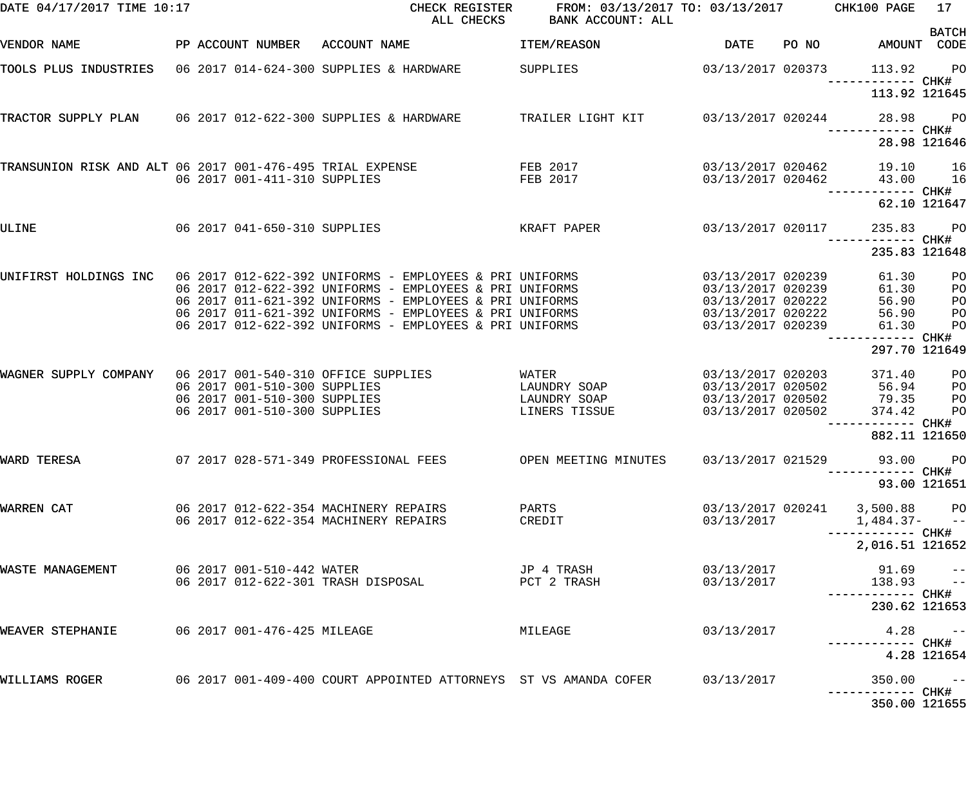| DATE 04/17/2017 TIME 10:17 |                                                                 | CHECK REGISTER<br>ALL CHECKS                                                                                                                                                                                                                                                                                                                                                                               | FROM: 03/13/2017 TO: 03/13/2017 CHK100 PAGE<br>BANK ACCOUNT: ALL |                          |                                                          | 17                                                                         |
|----------------------------|-----------------------------------------------------------------|------------------------------------------------------------------------------------------------------------------------------------------------------------------------------------------------------------------------------------------------------------------------------------------------------------------------------------------------------------------------------------------------------------|------------------------------------------------------------------|--------------------------|----------------------------------------------------------|----------------------------------------------------------------------------|
| VENDOR NAME                | PP ACCOUNT NUMBER ACCOUNT NAME                                  |                                                                                                                                                                                                                                                                                                                                                                                                            | <b>ITEM/REASON</b>                                               | DATE                     | PO NO AMOUNT CODE                                        | <b>BATCH</b>                                                               |
|                            |                                                                 | TOOLS PLUS INDUSTRIES 06 2017 014-624-300 SUPPLIES & HARDWARE SUPPLIES                                                                                                                                                                                                                                                                                                                                     | 03/13/2017 020373                                                |                          | 113.92 PO<br>------------ CHK#                           |                                                                            |
|                            |                                                                 |                                                                                                                                                                                                                                                                                                                                                                                                            |                                                                  |                          | 113.92 121645                                            |                                                                            |
|                            |                                                                 | TRACTOR SUPPLY PLAN 06 2017 012-622-300 SUPPLIES & HARDWARE TRAILER LIGHT KIT 03/13/2017 020244 28.98                                                                                                                                                                                                                                                                                                      |                                                                  |                          | ------------ CHK#                                        | <b>PO</b>                                                                  |
|                            |                                                                 |                                                                                                                                                                                                                                                                                                                                                                                                            |                                                                  |                          | 28.98 121646                                             |                                                                            |
|                            | 06 2017 001-411-310 SUPPLIES                                    | TRANSUNION RISK AND ALT 06 2017 001-476-495 TRIAL EXPENSE TRING FEB 2017<br><b>FEB 2017</b>                                                                                                                                                                                                                                                                                                                |                                                                  |                          | 03/13/2017 020462 19.10 16<br>03/13/2017 020462 43.00 16 |                                                                            |
|                            |                                                                 |                                                                                                                                                                                                                                                                                                                                                                                                            |                                                                  |                          | 62.10 121647                                             |                                                                            |
| ULINE                      |                                                                 | 06 2017 041-650-310 SUPPLIES KRAFT PAPER                                                                                                                                                                                                                                                                                                                                                                   | 03/13/2017 020117                                                |                          | 235.83<br>------------ CHK#                              | <b>PO</b>                                                                  |
|                            |                                                                 |                                                                                                                                                                                                                                                                                                                                                                                                            |                                                                  |                          | 235.83 121648                                            |                                                                            |
|                            |                                                                 | UNIFIRST HOLDINGS INC   06 2017 012-622-392 UNIFORMS - EMPLOYEES & PRI UNIFORMS                     03/13/2017<br>06 2017 012-622-392 UNIFORMS - EMPLOYEES & PRI UNIFORMS                               03/13/2017 020239<br>06 2017 011-621-392 UNIFORMS - EMPLOYEES & PRI UNIFORMS<br>06 2017 011-621-392 UNIFORMS - EMPLOYEES & PRI UNIFORMS<br>06 2017 012-622-392 UNIFORMS - EMPLOYEES & PRI UNIFORMS | 03/13/2017 020222<br>03/13/2017 020222<br>03/13/2017 020239      |                          | 61.30<br>61.30<br>56.90<br>56.90<br>61.30                | P <sub>O</sub><br>P <sub>O</sub><br>P <sub>O</sub><br>PO<br>P <sub>O</sub> |
|                            |                                                                 |                                                                                                                                                                                                                                                                                                                                                                                                            |                                                                  |                          | ------------ CHK#<br>297.70 121649                       |                                                                            |
|                            | 06 2017 001-510-300 SUPPLIES                                    | WAGNER SUPPLY COMPANY 06 2017 001-540-310 OFFICE SUPPLIES WATER WATER 03/13/2017 020203<br>06 2017 001-510-300 SUPPLIES CAUNDRY SOAP 03/13/2017 020502 79.35<br>06 2017 001-510-300 SUPPLIES                                                                                                                                                                                                               | LAUNDRY SOAP 03/13/2017 020502 56.94<br>LINERS TISSUE            | 03/13/2017 020502        | 371.40<br>374.42                                         | P <sub>O</sub><br>P <sub>O</sub><br>P <sub>O</sub><br>P <sub>O</sub>       |
|                            |                                                                 |                                                                                                                                                                                                                                                                                                                                                                                                            |                                                                  |                          | 882.11 121650                                            |                                                                            |
| WARD TERESA                |                                                                 | 07 2017 028-571-349 PROFESSIONAL FEES OPEN MEETING MINUTES 03/13/2017 021529                                                                                                                                                                                                                                                                                                                               |                                                                  |                          | 93.00 PO<br>--------- CHK#                               |                                                                            |
| WARREN CAT                 | 06 2017 012-622-354 MACHINERY REPAIRS                           |                                                                                                                                                                                                                                                                                                                                                                                                            | PARTS                                                            |                          | 93.00 121651<br>03/13/2017 020241 3,500.88 PO            |                                                                            |
|                            | 06 2017 012-622-354 MACHINERY REPAIRS                           |                                                                                                                                                                                                                                                                                                                                                                                                            | CREDIT                                                           | 03/13/2017               | $1,484.37-$ --                                           |                                                                            |
|                            |                                                                 |                                                                                                                                                                                                                                                                                                                                                                                                            |                                                                  |                          | 2,016.51 121652                                          |                                                                            |
| WASTE MANAGEMENT           | 06 2017 001-510-442 WATER<br>06 2017 012-622-301 TRASH DISPOSAL |                                                                                                                                                                                                                                                                                                                                                                                                            | JP 4 TRASH<br>PCT 2 TRASH                                        | 03/13/2017<br>03/13/2017 | $91.69 - -$<br>$138.93 - -$                              |                                                                            |
|                            |                                                                 |                                                                                                                                                                                                                                                                                                                                                                                                            |                                                                  |                          | 230.62 121653                                            |                                                                            |
| WEAVER STEPHANIE           | 06 2017 001-476-425 MILEAGE                                     |                                                                                                                                                                                                                                                                                                                                                                                                            | MILEAGE                                                          | 03/13/2017               |                                                          | $4.28 - -$                                                                 |
|                            |                                                                 |                                                                                                                                                                                                                                                                                                                                                                                                            |                                                                  |                          |                                                          | 4.28 121654                                                                |
| WILLIAMS ROGER             |                                                                 | 06  2017  001-409-400  COURT APPOINTED ATTORNEYS  ST VS AMANDA COFER                                                                                                                                                                                                                                                                                                                                       |                                                                  | 03/13/2017               | $350.00 - -$                                             |                                                                            |
|                            |                                                                 |                                                                                                                                                                                                                                                                                                                                                                                                            |                                                                  |                          | 350.00 121655                                            |                                                                            |